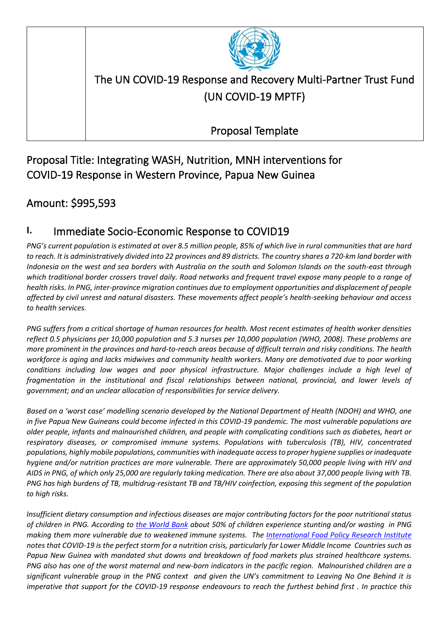

# The UN COVID-19 Response and Recovery Multi-Partner Trust Fund (UN COVID-19 MPTF)

Proposal Template

# Proposal Title: Integrating WASH, Nutrition, MNH interventions for COVID-19 Response in Western Province, Papua New Guinea

## Amount: \$995,593

### **I.** Immediate Socio-Economic Response to COVID19

*PNG's current population is estimated at over 8.5 million people, 85% of which live in rural communities that are hard to reach. It is administratively divided into 22 provinces and 89 districts. The country shares a 720-km land border with Indonesia on the west and sea borders with Australia on the south and Solomon Islands on the south-east through which traditional border crossers travel daily. Road networks and frequent travel expose many people to a range of health risks. In PNG, inter-province migration continues due to employment opportunities and displacement of people affected by civil unrest and natural disasters. These movements affect people's health-seeking behaviour and access to health services.*

*PNG suffers from a critical shortage of human resources for health. Most recent estimates of health worker densities reflect 0.5 physicians per 10,000 population and 5.3 nurses per 10,000 population (WHO, 2008). These problems are more prominent in the provinces and hard-to-reach areas because of difficult terrain and risky conditions. The health workforce is aging and lacks midwives and community health workers. Many are demotivated due to poor working conditions including low wages and poor physical infrastructure. Major challenges include a high level of fragmentation in the institutional and fiscal relationships between national, provincial, and lower levels of government; and an unclear allocation of responsibilities for service delivery.*

*Based on a 'worst case' modelling scenario developed by the National Department of Health (NDOH) and WHO, one in five Papua New Guineans could become infected in this COVID-19 pandemic. The most vulnerable populations are older people, infants and malnourished children, and people with complicating conditions such as diabetes, heart or respiratory diseases, or compromised immune systems. Populations with tuberculosis (TB), HIV, concentrated populations, highly mobile populations, communities with inadequate access to proper hygiene supplies or inadequate hygiene and/or nutrition practices are more vulnerable. There are approximately 50,000 people living with HIV and AIDS in PNG, of which only 25,000 are regularly taking medication. There are also about 37,000 people living with TB. PNG has high burdens of TB, multidrug-resistant TB and TB/HIV coinfection, exposing this segment of the population to high risks.* 

*Insufficient dietary consumption and infectious diseases are major contributing factors for the poor nutritional status of children in PNG. According to [the World Bank](http://documents.worldbank.org/curated/en/496871468179050001/pdf/97508-BRI-Nutrition-KnowledgeBrief-Stagnant-Stunting-in-PNG-Final-June2015-Box391479B-PUBLIC.pdf) about 50% of children experience stunting and/or wasting in PNG making them more vulnerable due to weakened immune systems. The [International Food Policy Research Institute](https://www.ifpri.org/blog/covid-19-nutrition-crisis-what-expect-and-how-protect) notes that COVID-19 is the perfect storm for a nutrition crisis, particularly for Lower Middle Income Countries such as Papua New Guinea with mandated shut downs and breakdown of food markets plus strained healthcare systems. PNG also has one of the worst maternal and new-born indicators in the pacific region. Malnourished children are a significant vulnerable group in the PNG context and given the UN's commitment to Leaving No One Behind it is imperative that support for the COVID-19 response endeavours to reach the furthest behind first . In practice this*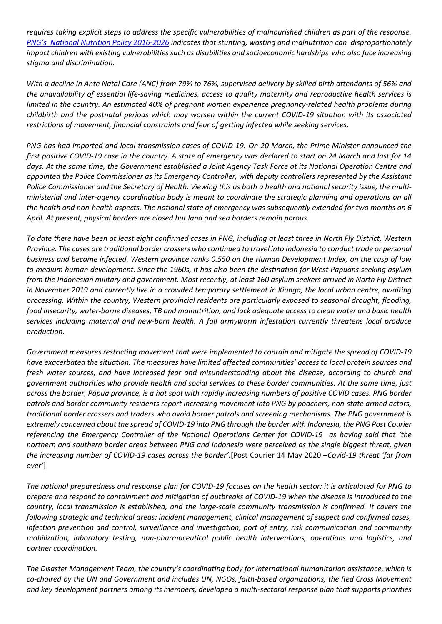*requires taking explicit steps to address the specific vulnerabilities of malnourished children as part of the response. [PNG's National Nutrition Policy 2016](http://www.health.gov.pg/pdf/PM-SNNP_2018.pdf)-2026 indicates that stunting, wasting and malnutrition can disproportionately impact children with existing vulnerabilities such as disabilities and socioeconomic hardships who also face increasing stigma and discrimination.*

*With a decline in Ante Natal Care (ANC) from 79% to 76%, supervised delivery by skilled birth attendants of 56% and the unavailability of essential life-saving medicines, access to quality maternity and reproductive health services is limited in the country. An estimated 40% of pregnant women experience pregnancy-related health problems during childbirth and the postnatal periods which may worsen within the current COVID-19 situation with its associated restrictions of movement, financial constraints and fear of getting infected while seeking services.*

*PNG has had imported and local transmission cases of COVID-19. On 20 March, the Prime Minister announced the first positive COVID-19 case in the country. A state of emergency was declared to start on 24 March and last for 14 days. At the same time, the Government established a Joint Agency Task Force at its National Operation Centre and appointed the Police Commissioner as its Emergency Controller, with deputy controllers represented by the Assistant Police Commissioner and the Secretary of Health. Viewing this as both a health and national security issue, the multiministerial and inter-agency coordination body is meant to coordinate the strategic planning and operations on all the health and non-health aspects. The national state of emergency was subsequently extended for two months on 6 April. At present, physical borders are closed but land and sea borders remain porous.*

*To date there have been at least eight confirmed cases in PNG, including at least three in North Fly District, Western Province. The cases are traditional border crossers who continued to travel into Indonesia to conduct trade or personal business and became infected. Western province ranks 0.550 on the Human Development Index, on the cusp of low to medium human development. Since the 1960s, it has also been the destination for West Papuans seeking asylum from the Indonesian military and government. Most recently, at least 160 asylum seekers arrived in North Fly District in November 2019 and currently live in a crowded temporary settlement in Kiunga, the local urban centre, awaiting processing. Within the country, Western provincial residents are particularly exposed to seasonal drought, flooding, food insecurity, water-borne diseases, TB and malnutrition, and lack adequate access to clean water and basic health services including maternal and new-born health. A fall armyworm infestation currently threatens local produce production.* 

*Government measures restricting movement that were implemented to contain and mitigate the spread of COVID-19 have exacerbated the situation. The measures have limited affected communities' access to local protein sources and fresh water sources, and have increased fear and misunderstanding about the disease, according to church and government authorities who provide health and social services to these border communities. At the same time, just across the border, Papua province, is a hot spot with rapidly increasing numbers of positive COVID cases. PNG border patrols and border community residents report increasing movement into PNG by poachers, non-state armed actors, traditional border crossers and traders who avoid border patrols and screening mechanisms. The PNG government is extremely concerned about the spread of COVID-19 into PNG through the border with Indonesia, the PNG Post Courier referencing the Emergency Controller of the National Operations Center for COVID-19 as having said that 'the northern and southern border areas between PNG and Indonesia were perceived as the single biggest threat, given the increasing number of COVID-19 cases across the border'.*[Post Courier 14 May 2020 –*Covid-19 threat 'far from over'*]

*The national preparedness and response plan for COVID-19 focuses on the health sector: it is articulated for PNG to prepare and respond to containment and mitigation of outbreaks of COVID-19 when the disease is introduced to the country, local transmission is established, and the large-scale community transmission is confirmed. It covers the following strategic and technical areas: incident management, clinical management of suspect and confirmed cases, infection prevention and control, surveillance and investigation, port of entry, risk communication and community mobilization, laboratory testing, non-pharmaceutical public health interventions, operations and logistics, and partner coordination.*

*The Disaster Management Team, the country's coordinating body for international humanitarian assistance, which is co-chaired by the UN and Government and includes UN, NGOs, faith-based organizations, the Red Cross Movement and key development partners among its members, developed a multi-sectoral response plan that supports priorities*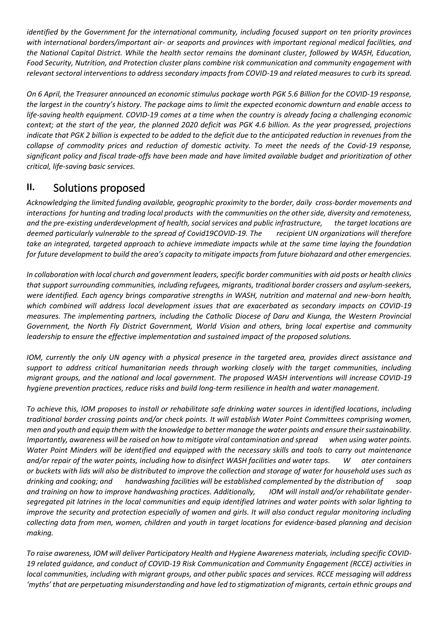*identified by the Government for the international community, including focused support on ten priority provinces with international borders/important air- or seaports and provinces with important regional medical facilities, and the National Capital District. While the health sector remains the dominant cluster, followed by WASH, Education, Food Security, Nutrition, and Protection cluster plans combine risk communication and community engagement with relevant sectoral interventions to address secondary impacts from COVID-19 and related measures to curb its spread.*

*On 6 April, the Treasurer announced an economic stimulus package worth PGK 5.6 Billion for the COVID-19 response, the largest in the country's history. The package aims to limit the expected economic downturn and enable access to life-saving health equipment. COVID-19 comes at a time when the country is already facing a challenging economic context; at the start of the year, the planned 2020 deficit was PGK 4.6 billion. As the year progressed, projections indicate that PGK 2 billion is expected to be added to the deficit due to the anticipated reduction in revenues from the collapse of commodity prices and reduction of domestic activity. To meet the needs of the Covid-19 response, significant policy and fiscal trade-offs have been made and have limited available budget and prioritization of other critical, life-saving basic services.*

### **II.** Solutions proposed

*Acknowledging the limited funding available, geographic proximity to the border, daily cross-border movements and interactions for hunting and trading local products with the communities on the other side, diversity and remoteness, and the pre-existing underdevelopment of health, social services and public infrastructure, the target locations are deemed particularly vulnerable to the spread of Covid19COVID-19. The recipient UN organizations will therefore take an integrated, targeted approach to achieve immediate impacts while at the same time laying the foundation for future development to build the area's capacity to mitigate impacts from future biohazard and other emergencies.*

*In collaboration with local church and government leaders, specific border communities with aid posts or health clinics that support surrounding communities, including refugees, migrants, traditional border crossers and asylum-seekers, were identified. Each agency brings comparative strengths in WASH, nutrition and maternal and new-born health, which combined will address local development issues that are exacerbated as secondary impacts on COVID-19 measures. The implementing partners, including the Catholic Diocese of Daru and Kiunga, the Western Provincial Government, the North Fly District Government, World Vision and others, bring local expertise and community leadership to ensure the effective implementation and sustained impact of the proposed solutions.*

*IOM, currently the only UN agency with a physical presence in the targeted area, provides direct assistance and support to address critical humanitarian needs through working closely with the target communities, including migrant groups, and the national and local government. The proposed WASH interventions will increase COVID-19 hygiene prevention practices, reduce risks and build long-term resilience in health and water management.* 

*To achieve this, IOM proposes to install or rehabilitate safe drinking water sources in identified locations, including traditional border crossing points and/or check points. It will establish Water Point Committees comprising women, men and youth and equip them with the knowledge to better manage the water points and ensure their sustainability. Importantly, awareness will be raised on how to mitigate viral contamination and spread when using water points. Water Point Minders will be identified and equipped with the necessary skills and tools to carry out maintenance and/or repair of the water points, including how to disinfect WASH facilities and water taps. W ater containers or buckets with lids will also be distributed to improve the collection and storage of water for household uses such as drinking and cooking; and handwashing facilities will be established complemented by the distribution of soap and training on how to improve handwashing practices. Additionally, IOM will install and/or rehabilitate gendersegregated pit latrines in the local communities and equip identified latrines and water points with solar lighting to improve the security and protection especially of women and girls. It will also conduct regular monitoring including collecting data from men, women, children and youth in target locations for evidence-based planning and decision making.*

*To raise awareness, IOM will deliver Participatory Health and Hygiene Awareness materials, including specific COVID-19 related guidance, and conduct of COVID-19 Risk Communication and Community Engagement (RCCE) activities in local communities, including with migrant groups, and other public spaces and services. RCCE messaging will address 'myths' that are perpetuating misunderstanding and have led to stigmatization of migrants, certain ethnic groups and*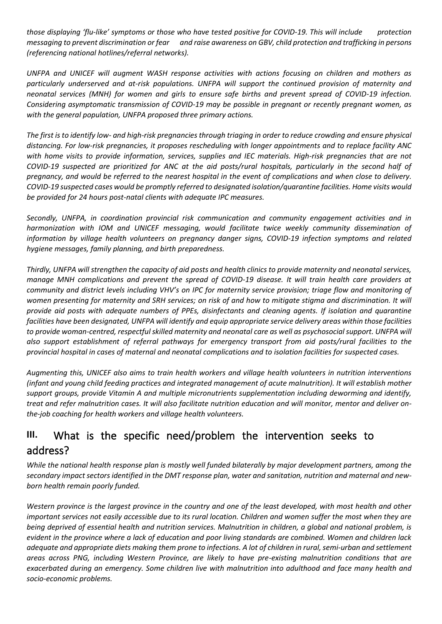*those displaying 'flu-like' symptoms or those who have tested positive for COVID-19. This will include protection messaging to prevent discrimination or fear and raise awareness on GBV, child protection and trafficking in persons (referencing national hotlines/referral networks).* 

*UNFPA and UNICEF will augment WASH response activities with actions focusing on children and mothers as particularly underserved and at-risk populations. UNFPA will support the continued provision of maternity and neonatal services (MNH) for women and girls to ensure safe births and prevent spread of COVID-19 infection. Considering asymptomatic transmission of COVID-19 may be possible in pregnant or recently pregnant women, as with the general population, UNFPA proposed three primary actions.* 

*The first is to identify low- and high-risk pregnancies through triaging in order to reduce crowding and ensure physical distancing. For low-risk pregnancies, it proposes rescheduling with longer appointments and to replace facility ANC with home visits to provide information, services, supplies and IEC materials. High-risk pregnancies that are not COVID-19 suspected are prioritized for ANC at the aid posts/rural hospitals, particularly in the second half of pregnancy, and would be referred to the nearest hospital in the event of complications and when close to delivery. COVID-19 suspected cases would be promptly referred to designated isolation/quarantine facilities. Home visits would be provided for 24 hours post-natal clients with adequate IPC measures.*

*Secondly, UNFPA, in coordination provincial risk communication and community engagement activities and in harmonization with IOM and UNICEF messaging, would facilitate twice weekly community dissemination of information by village health volunteers on pregnancy danger signs, COVID-19 infection symptoms and related hygiene messages, family planning, and birth preparedness.*

*Thirdly, UNFPA will strengthen the capacity of aid posts and health clinics to provide maternity and neonatal services, manage MNH complications and prevent the spread of COVID-19 disease. It will train health care providers at community and district levels including VHV's on IPC for maternity service provision; triage flow and monitoring of women presenting for maternity and SRH services; on risk of and how to mitigate stigma and discrimination. It will provide aid posts with adequate numbers of PPEs, disinfectants and cleaning agents. If isolation and quarantine facilities have been designated, UNFPA will identify and equip appropriate service delivery areas within those facilities to provide woman-centred, respectful skilled maternity and neonatal care as well as psychosocial support. UNFPA will also support establishment of referral pathways for emergency transport from aid posts/rural facilities to the provincial hospital in cases of maternal and neonatal complications and to isolation facilities for suspected cases.*

*Augmenting this, UNICEF also aims to train health workers and village health volunteers in nutrition interventions (infant and young child feeding practices and integrated management of acute malnutrition). It will establish mother support groups, provide Vitamin A and multiple micronutrients supplementation including deworming and identify, treat and refer malnutrition cases. It will also facilitate nutrition education and will monitor, mentor and deliver onthe-job coaching for health workers and village health volunteers.*

### **III.** What is the specific need/problem the intervention seeks to address?

*While the national health response plan is mostly well funded bilaterally by major development partners, among the secondary impact sectors identified in the DMT response plan, water and sanitation, nutrition and maternal and newborn health remain poorly funded.*

*Western province is the largest province in the country and one of the least developed, with most health and other important services not easily accessible due to its rural location. Children and women suffer the most when they are being deprived of essential health and nutrition services. Malnutrition in children, a global and national problem, is evident in the province where a lack of education and poor living standards are combined. Women and children lack adequate and appropriate diets making them prone to infections. A lot of children in rural, semi-urban and settlement areas across PNG, including Western Province, are likely to have pre-existing malnutrition conditions that are exacerbated during an emergency. Some children live with malnutrition into adulthood and face many health and socio-economic problems.*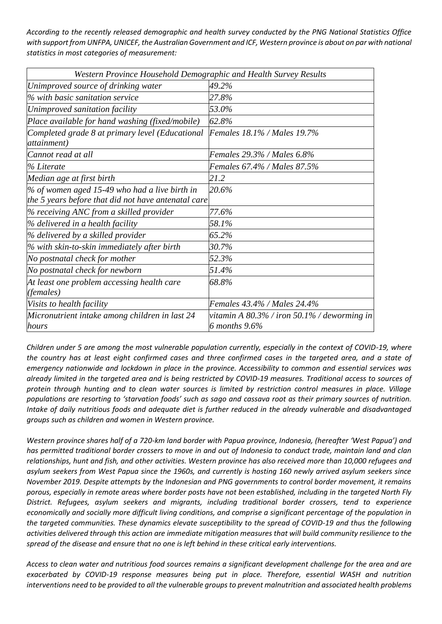*According to the recently released demographic and health survey conducted by the PNG National Statistics Office with support from UNFPA, UNICEF, the Australian Government and ICF, Western province is about on par with national statistics in most categories of measurement:*

| Western Province Household Demographic and Health Survey Results |                                                                    |
|------------------------------------------------------------------|--------------------------------------------------------------------|
| Unimproved source of drinking water                              | 49.2%                                                              |
| % with basic sanitation service                                  | 27.8%                                                              |
| Unimproved sanitation facility                                   | 53.0%                                                              |
| Place available for hand washing (fixed/mobile)                  | 62.8%                                                              |
| Completed grade 8 at primary level (Educational<br>attainment)   | Females 18.1% / Males 19.7%                                        |
| Cannot read at all                                               | Females 29.3% / Males 6.8%                                         |
| % Literate                                                       | Females 67.4% / Males 87.5%                                        |
| Median age at first birth                                        | 21.2                                                               |
| % of women aged 15-49 who had a live birth in                    | 20.6%                                                              |
| the 5 years before that did not have antenatal care              |                                                                    |
| % receiving ANC from a skilled provider                          | 77.6%                                                              |
| % delivered in a health facility                                 | 58.1%                                                              |
| % delivered by a skilled provider                                | 65.2%                                                              |
| % with skin-to-skin immediately after birth                      | 30.7%                                                              |
| No postnatal check for mother                                    | 52.3%                                                              |
| No postnatal check for newborn                                   | 51.4%                                                              |
| At least one problem accessing health care<br><i>(females)</i>   | 68.8%                                                              |
| Visits to health facility                                        | Females 43.4% / Males 24.4%                                        |
| Micronutrient intake among children in last 24<br>hours          | vitamin A $80.3\%$ / iron 50.1% / deworming in<br>6 months $9.6\%$ |

*Children under 5 are among the most vulnerable population currently, especially in the context of COVID-19, where the country has at least eight confirmed cases and three confirmed cases in the targeted area, and a state of emergency nationwide and lockdown in place in the province. Accessibility to common and essential services was already limited in the targeted area and is being restricted by COVID-19 measures. Traditional access to sources of protein through hunting and to clean water sources is limited by restriction control measures in place. Village populations are resorting to 'starvation foods' such as sago and cassava root as their primary sources of nutrition. Intake of daily nutritious foods and adequate diet is further reduced in the already vulnerable and disadvantaged groups such as children and women in Western province.* 

*Western province shares half of a 720-km land border with Papua province, Indonesia, (hereafter 'West Papua') and has permitted traditional border crossers to move in and out of Indonesia to conduct trade, maintain land and clan relationships, hunt and fish, and other activities. Western province has also received more than 10,000 refugees and asylum seekers from West Papua since the 1960s, and currently is hosting 160 newly arrived asylum seekers since November 2019. Despite attempts by the Indonesian and PNG governments to control border movement, it remains porous, especially in remote areas where border posts have not been established, including in the targeted North Fly District. Refugees, asylum seekers and migrants, including traditional border crossers, tend to experience economically and socially more difficult living conditions, and comprise a significant percentage of the population in the targeted communities. These dynamics elevate susceptibility to the spread of COVID-19 and thus the following activities delivered through this action are immediate mitigation measures that will build community resilience to the spread of the disease and ensure that no one is left behind in these critical early interventions.*

*Access to clean water and nutritious food sources remains a significant development challenge for the area and are exacerbated by COVID-19 response measures being put in place. Therefore, essential WASH and nutrition interventions need to be provided to all the vulnerable groups to prevent malnutrition and associated health problems*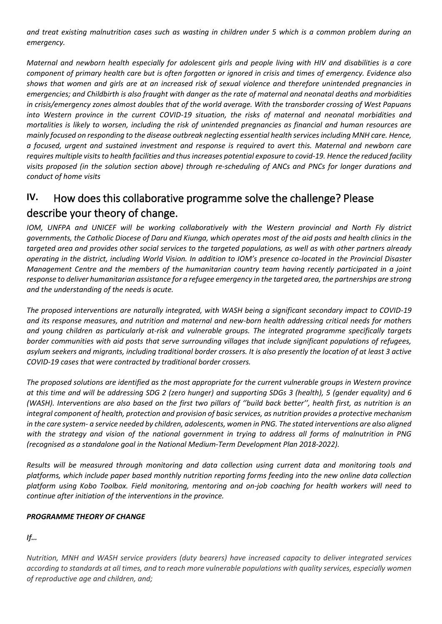*and treat existing malnutrition cases such as wasting in children under 5 which is a common problem during an emergency.*

*Maternal and newborn health especially for adolescent girls and people living with HIV and disabilities is a core component of primary health care but is often forgotten or ignored in crisis and times of emergency. Evidence also shows that women and girls are at an increased risk of sexual violence and therefore unintended pregnancies in emergencies; and Childbirth is also fraught with danger as the rate of maternal and neonatal deaths and morbidities in crisis/emergency zones almost doubles that of the world average. With the transborder crossing of West Papuans into Western province in the current COVID-19 situation, the risks of maternal and neonatal morbidities and mortalities is likely to worsen, including the risk of unintended pregnancies as financial and human resources are mainly focused on responding to the disease outbreak neglecting essential health services including MNH care. Hence, a focused, urgent and sustained investment and response is required to avert this. Maternal and newborn care requires multiple visits to health facilities and thus increases potential exposure to covid-19. Hence the reduced facility visits proposed (in the solution section above) through re-scheduling of ANCs and PNCs for longer durations and conduct of home visits* 

## **IV.** How does this collaborative programme solve the challenge? Please describe your theory of change.

*IOM, UNFPA and UNICEF will be working collaboratively with the Western provincial and North Fly district governments, the Catholic Diocese of Daru and Kiunga, which operates most of the aid posts and health clinics in the targeted area and provides other social services to the targeted populations, as well as with other partners already operating in the district, including World Vision. In addition to IOM's presence co-located in the Provincial Disaster Management Centre and the members of the humanitarian country team having recently participated in a joint response to deliver humanitarian assistance for a refugee emergency in the targeted area, the partnerships are strong and the understanding of the needs is acute.*

*The proposed interventions are naturally integrated, with WASH being a significant secondary impact to COVID-19 and its response measures, and nutrition and maternal and new-born health addressing critical needs for mothers and young children as particularly at-risk and vulnerable groups. The integrated programme specifically targets border communities with aid posts that serve surrounding villages that include significant populations of refugees, asylum seekers and migrants, including traditional border crossers. It is also presently the location of at least 3 active COVID-19 cases that were contracted by traditional border crossers.*

*The proposed solutions are identified as the most appropriate for the current vulnerable groups in Western province at this time and will be addressing SDG 2 (zero hunger) and supporting SDGs 3 (health), 5 (gender equality) and 6 (WASH). Interventions are also based on the first two pillars of ''build back better'', health first, as nutrition is an integral component of health, protection and provision of basic services, as nutrition provides a protective mechanism in the care system- a service needed by children, adolescents, women in PNG. The stated interventions are also aligned with the strategy and vision of the national government in trying to address all forms of malnutrition in PNG (recognised as a standalone goal in the National Medium-Term Development Plan 2018-2022).*

*Results will be measured through monitoring and data collection using current data and monitoring tools and platforms, which include paper based monthly nutrition reporting forms feeding into the new online data collection platform using Kobo Toolbox. Field monitoring, mentoring and on-job coaching for health workers will need to continue after initiation of the interventions in the province.* 

### *PROGRAMME THEORY OF CHANGE*

*If…*

*Nutrition, MNH and WASH service providers (duty bearers) have increased capacity to deliver integrated services according to standards at all times, and to reach more vulnerable populations with quality services, especially women of reproductive age and children, and;*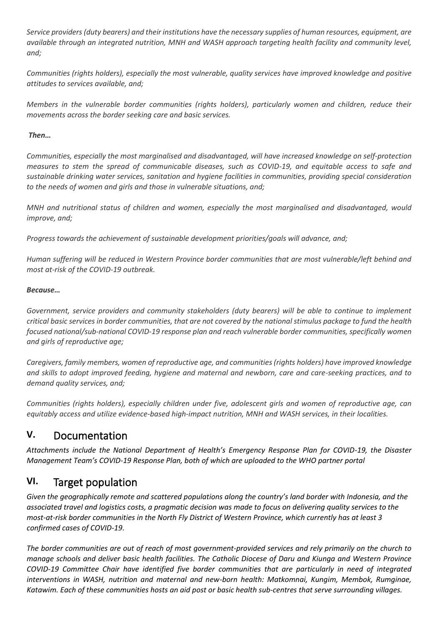*Service providers (duty bearers) and their institutions have the necessary supplies of human resources, equipment, are available through an integrated nutrition, MNH and WASH approach targeting health facility and community level, and;* 

*Communities (rights holders), especially the most vulnerable, quality services have improved knowledge and positive attitudes to services available, and;*

*Members in the vulnerable border communities (rights holders), particularly women and children, reduce their movements across the border seeking care and basic services.*

#### *Then…*

*Communities, especially the most marginalised and disadvantaged, will have increased knowledge on self-protection measures to stem the spread of communicable diseases, such as COVID-19, and equitable access to safe and sustainable drinking water services, sanitation and hygiene facilities in communities, providing special consideration to the needs of women and girls and those in vulnerable situations, and;*

*MNH and nutritional status of children and women, especially the most marginalised and disadvantaged, would improve, and;*

*Progress towards the achievement of sustainable development priorities/goals will advance, and;*

*Human suffering will be reduced in Western Province border communities that are most vulnerable/left behind and most at-risk of the COVID-19 outbreak.*

#### *Because…*

*Government, service providers and community stakeholders (duty bearers) will be able to continue to implement critical basic services in border communities, that are not covered by the national stimulus package to fund the health focused national/sub-national COVID-19 response plan and reach vulnerable border communities, specifically women and girls of reproductive age;*

*Caregivers, family members, women of reproductive age, and communities (rights holders) have improved knowledge and skills to adopt improved feeding, hygiene and maternal and newborn, care and care-seeking practices, and to demand quality services, and;*

*Communities (rights holders), especially children under five, adolescent girls and women of reproductive age, can equitably access and utilize evidence-based high-impact nutrition, MNH and WASH services, in their localities.*

### **V.** Documentation

*Attachments include the National Department of Health's Emergency Response Plan for COVID-19, the Disaster Management Team's COVID-19 Response Plan, both of which are uploaded to the WHO partner portal*

### **VI.** Target population

*Given the geographically remote and scattered populations along the country's land border with Indonesia, and the associated travel and logistics costs, a pragmatic decision was made to focus on delivering quality services to the most-at-risk border communities in the North Fly District of Western Province, which currently has at least 3 confirmed cases of COVID-19.*

*The border communities are out of reach of most government-provided services and rely primarily on the church to manage schools and deliver basic health facilities. The Catholic Diocese of Daru and Kiunga and Western Province COVID-19 Committee Chair have identified five border communities that are particularly in need of integrated interventions in WASH, nutrition and maternal and new-born health: Matkomnai, Kungim, Membok, Rumginae, Katawim. Each of these communities hosts an aid post or basic health sub-centres that serve surrounding villages.*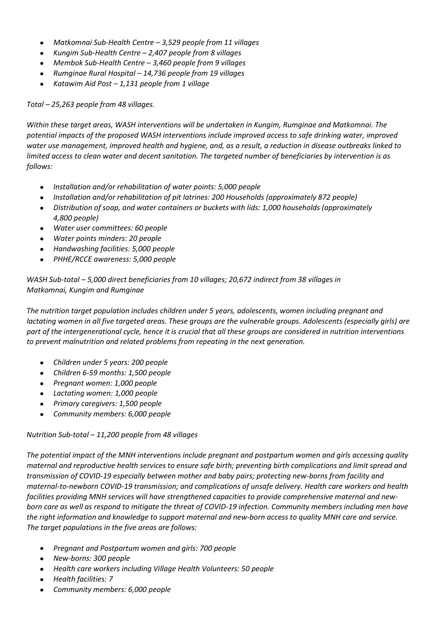- *Matkomnai Sub-Health Centre – 3,529 people from 11 villages*
- *Kungim Sub-Health Centre – 2,407 people from 8 villages*
- *Membok Sub-Health Centre – 3,460 people from 9 villages*
- *Rumginae Rural Hospital – 14,736 people from 19 villages*
- *Katawim Aid Post – 1,131 people from 1 village*

*Total – 25,263 people from 48 villages.*

*Within these target areas, WASH interventions will be undertaken in Kungim, Rumginae and Matkomnai. The potential impacts of the proposed WASH interventions include improved access to safe drinking water, improved water use management, improved health and hygiene, and, as a result, a reduction in disease outbreaks linked to limited access to clean water and decent sanitation. The targeted number of beneficiaries by intervention is as follows:*

- *Installation and/or rehabilitation of water points: 5,000 people*
- *Installation and/or rehabilitation of pit latrines: 200 Households (approximately 872 people)*
- *Distribution of soap, and water containers or buckets with lids: 1,000 households (approximately 4,800 people)*
- *Water user committees: 60 people*
- *Water points minders: 20 people*
- *Handwashing facilities: 5,000 people*
- *PHHE/RCCE awareness: 5,000 people*

*WASH Sub-total – 5,000 direct beneficiaries from 10 villages; 20,672 indirect from 38 villages in Matkomnai, Kungim and Rumginae*

*The nutrition target population includes children under 5 years, adolescents, women including pregnant and lactating women in all five targeted areas. These groups are the vulnerable groups. Adolescents (especially girls) are part of the intergenerational cycle, hence it is crucial that all these groups are considered in nutrition interventions to prevent malnutrition and related problems from repeating in the next generation.*

- *Children under 5 years: 200 people*
- *Children 6-59 months: 1,500 people*
- *Pregnant women: 1,000 people*
- *Lactating women: 1,000 people*
- *Primary caregivers: 1,500 people*
- *Community members: 6,000 people*

*Nutrition Sub-total – 11,200 people from 48 villages*

*The potential impact of the MNH interventions include pregnant and postpartum women and girls accessing quality maternal and reproductive health services to ensure safe birth; preventing birth complications and limit spread and transmission of COVID-19 especially between mother and baby pairs; protecting new-borns from facility and maternal-to-newborn COVID-19 transmission; and complications of unsafe delivery. Health care workers and health facilities providing MNH services will have strengthened capacities to provide comprehensive maternal and newborn care as well as respond to mitigate the threat of COVID-19 infection. Community members including men have the right information and knowledge to support maternal and new-born access to quality MNH care and service. The target populations in the five areas are follows:*

- *Pregnant and Postpartum women and girls: 700 people*
- *New-borns: 300 people*
- *Health care workers including Village Health Volunteers: 50 people*
- *Health facilities: 7*
- *Community members: 6,000 people*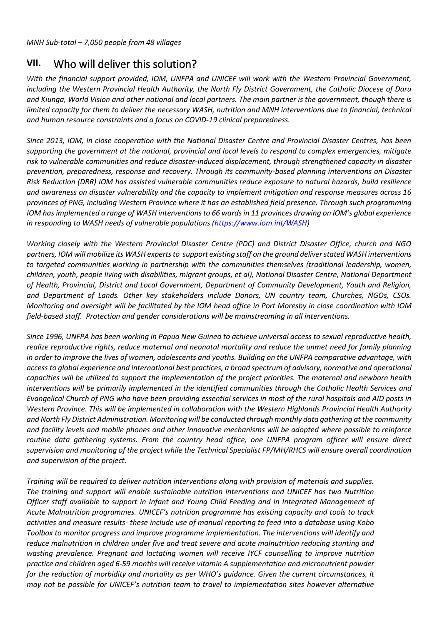### **VII.** Who will deliver this solution?

*With the financial support provided, IOM, UNFPA and UNICEF will work with the Western Provincial Government, including the Western Provincial Health Authority, the North Fly District Government, the Catholic Diocese of Daru and Kiunga, World Vision and other national and local partners. The main partner is the government, though there is limited capacity for them to deliver the necessary WASH, nutrition and MNH interventions due to financial, technical and human resource constraints and a focus on COVID-19 clinical preparedness.* 

*Since 2013, IOM, in close cooperation with the National Disaster Centre and Provincial Disaster Centres, has been supporting the government at the national, provincial and local levels to respond to complex emergencies, mitigate risk to vulnerable communities and reduce disaster-induced displacement, through strengthened capacity in disaster prevention, preparedness, response and recovery. Through its community-based planning interventions on Disaster Risk Reduction (DRR) IOM has assisted vulnerable communities reduce exposure to natural hazards, build resilience and awareness on disaster vulnerability and the capacity to implement mitigation and response measures across 16 provinces of PNG, including Western Province where it has an established field presence. Through such programming IOM has implemented a range of WASH interventions to 66 wards in 11 provinces drawing on IOM's global experience in responding to WASH needs of vulnerable populations [\(https://www.iom.int/WASH\)](https://www.iom.int/WASH)*

*Working closely with the Western Provincial Disaster Centre (PDC) and District Disaster Office, church and NGO partners, IOM will mobilize its WASH experts to support existing staff on the ground deliver stated WASH interventions to targeted communities working in partnership with the communities themselves (traditional leadership, women, children, youth, people living with disabilities, migrant groups, et al), National Disaster Centre, National Department of Health, Provincial, District and Local Government, Department of Community Development, Youth and Religion, and Department of Lands. Other key stakeholders include Donors, UN country team, Churches, NGOs, CSOs. Monitoring and oversight will be facilitated by the IOM head office in Port Moresby in close coordination with IOM field-based staff. Protection and gender considerations will be mainstreaming in all interventions.*

*Since 1996, UNFPA has been working in Papua New Guinea to achieve universal access to sexual reproductive health, realize reproductive rights, reduce maternal and neonatal mortality and reduce the unmet need for family planning in order to improve the lives of women, adolescents and youths. Building on the UNFPA comparative advantage, with access to global experience and international best practices, a broad spectrum of advisory, normative and operational capacities will be utilized to support the implementation of the project priorities. The maternal and newborn health interventions will be primarily implemented in the identified communities through the Catholic Health Services and Evangelical Church of PNG who have been providing essential services in most of the rural hospitals and AID posts in Western Province. This will be implemented in collaboration with the Western Highlands Provincial Health Authority and North Fly District Administration. Monitoring will be conducted through monthly data gathering at the community and facility levels and mobile phones and other innovative mechanisms will be adopted where possible to reinforce routine data gathering systems. From the country head office, one UNFPA program officer will ensure direct supervision and monitoring of the project while the Technical Specialist FP/MH/RHCS will ensure overall coordination and supervision of the project.*

*Training will be required to deliver nutrition interventions along with provision of materials and supplies. The training and support will enable sustainable nutrition interventions and UNICEF has two Nutrition Officer staff available to support in Infant and Young Child Feeding and in Integrated Management of Acute Malnutrition programmes. UNICEF's nutrition programme has existing capacity and tools to track activities and measure results- these include use of manual reporting to feed into a database using Kobo Toolbox to monitor progress and improve programme implementation. The interventions will identify and reduce malnutrition in children under five and treat severe and acute malnutrition reducing stunting and wasting prevalence. Pregnant and lactating women will receive IYCF counselling to improve nutrition practice and children aged 6-59 months will receive vitamin A supplementation and micronutrient powder for the reduction of morbidity and mortality as per WHO's guidance. Given the current circumstances, it may not be possible for UNICEF's nutrition team to travel to implementation sites however alternative*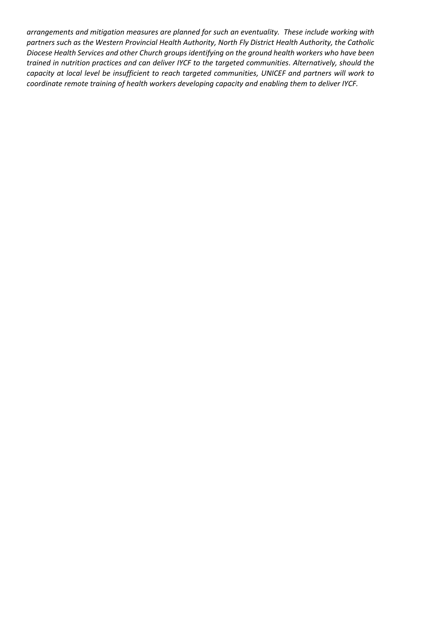*arrangements and mitigation measures are planned for such an eventuality. These include working with partners such as the Western Provincial Health Authority, North Fly District Health Authority, the Catholic Diocese Health Services and other Church groups identifying on the ground health workers who have been trained in nutrition practices and can deliver IYCF to the targeted communities. Alternatively, should the capacity at local level be insufficient to reach targeted communities, UNICEF and partners will work to coordinate remote training of health workers developing capacity and enabling them to deliver IYCF.*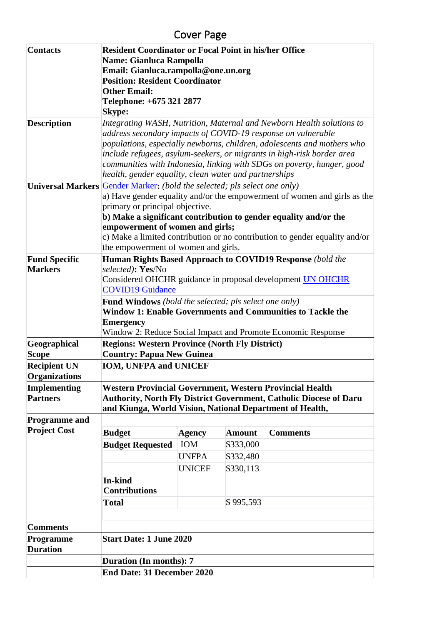Cover Page

| <b>Contacts</b>                      | <b>Resident Coordinator or Focal Point in his/her Office</b>                                                         |               |               |                                                                                                                                                   |  |  |  |
|--------------------------------------|----------------------------------------------------------------------------------------------------------------------|---------------|---------------|---------------------------------------------------------------------------------------------------------------------------------------------------|--|--|--|
|                                      |                                                                                                                      |               |               |                                                                                                                                                   |  |  |  |
|                                      | Email: Gianluca.rampolla@one.un.org                                                                                  |               |               |                                                                                                                                                   |  |  |  |
|                                      | <b>Position: Resident Coordinator</b>                                                                                |               |               |                                                                                                                                                   |  |  |  |
|                                      | <b>Other Email:</b>                                                                                                  |               |               |                                                                                                                                                   |  |  |  |
|                                      | Telephone: +675 321 2877                                                                                             |               |               |                                                                                                                                                   |  |  |  |
|                                      | <b>Skype:</b>                                                                                                        |               |               |                                                                                                                                                   |  |  |  |
| <b>Description</b>                   | address secondary impacts of COVID-19 response on vulnerable                                                         |               |               | Integrating WASH, Nutrition, Maternal and Newborn Health solutions to                                                                             |  |  |  |
|                                      |                                                                                                                      |               |               | populations, especially newborns, children, adolescents and mothers who<br>include refugees, asylum-seekers, or migrants in high-risk border area |  |  |  |
|                                      |                                                                                                                      |               |               | communities with Indonesia, linking with SDGs on poverty, hunger, good                                                                            |  |  |  |
|                                      | health, gender equality, clean water and partnerships                                                                |               |               |                                                                                                                                                   |  |  |  |
|                                      | Universal Markers Gender Marker: (bold the selected; pls select one only)                                            |               |               |                                                                                                                                                   |  |  |  |
|                                      |                                                                                                                      |               |               | a) Have gender equality and/or the empowerment of women and girls as the                                                                          |  |  |  |
|                                      | primary or principal objective.                                                                                      |               |               |                                                                                                                                                   |  |  |  |
|                                      |                                                                                                                      |               |               | b) Make a significant contribution to gender equality and/or the                                                                                  |  |  |  |
|                                      | empowerment of women and girls;                                                                                      |               |               |                                                                                                                                                   |  |  |  |
|                                      |                                                                                                                      |               |               | c) Make a limited contribution or no contribution to gender equality and/or                                                                       |  |  |  |
|                                      | the empowerment of women and girls.                                                                                  |               |               |                                                                                                                                                   |  |  |  |
| <b>Fund Specific</b>                 |                                                                                                                      |               |               | <b>Human Rights Based Approach to COVID19 Response</b> (bold the                                                                                  |  |  |  |
| <b>Markers</b>                       | selected): Yes/No                                                                                                    |               |               |                                                                                                                                                   |  |  |  |
|                                      | Considered OHCHR guidance in proposal development <b>UN OHCHR</b><br><b>COVID19 Guidance</b>                         |               |               |                                                                                                                                                   |  |  |  |
|                                      | <b>Fund Windows</b> (bold the selected; pls select one only)                                                         |               |               |                                                                                                                                                   |  |  |  |
|                                      |                                                                                                                      |               |               | <b>Window 1: Enable Governments and Communities to Tackle the</b>                                                                                 |  |  |  |
|                                      | Emergency                                                                                                            |               |               |                                                                                                                                                   |  |  |  |
|                                      | Window 2: Reduce Social Impact and Promote Economic Response                                                         |               |               |                                                                                                                                                   |  |  |  |
| Geographical<br><b>Scope</b>         | <b>Regions: Western Province (North Fly District)</b><br><b>Country: Papua New Guinea</b>                            |               |               |                                                                                                                                                   |  |  |  |
| <b>Recipient UN</b><br>Organizations | <b>IOM, UNFPA and UNICEF</b>                                                                                         |               |               |                                                                                                                                                   |  |  |  |
| Implementing<br><b>Partners</b>      | Western Provincial Government, Western Provincial Health<br>and Kiunga, World Vision, National Department of Health, |               |               | <b>Authority, North Fly District Government, Catholic Diocese of Daru</b>                                                                         |  |  |  |
| <b>Programme</b> and                 |                                                                                                                      |               |               |                                                                                                                                                   |  |  |  |
| <b>Project Cost</b>                  | <b>Budget</b>                                                                                                        | <b>Agency</b> | <b>Amount</b> | <b>Comments</b>                                                                                                                                   |  |  |  |
|                                      | <b>Budget Requested</b>                                                                                              | <b>IOM</b>    | \$333,000     |                                                                                                                                                   |  |  |  |
|                                      |                                                                                                                      | <b>UNFPA</b>  | \$332,480     |                                                                                                                                                   |  |  |  |
|                                      |                                                                                                                      | <b>UNICEF</b> | \$330,113     |                                                                                                                                                   |  |  |  |
|                                      |                                                                                                                      |               |               |                                                                                                                                                   |  |  |  |
|                                      | <b>In-kind</b>                                                                                                       |               |               |                                                                                                                                                   |  |  |  |
|                                      | <b>Contributions</b>                                                                                                 |               |               |                                                                                                                                                   |  |  |  |
|                                      | <b>Total</b>                                                                                                         |               | \$995,593     |                                                                                                                                                   |  |  |  |
| <b>Comments</b>                      |                                                                                                                      |               |               |                                                                                                                                                   |  |  |  |
| Programme<br><b>Duration</b>         | <b>Start Date: 1 June 2020</b>                                                                                       |               |               |                                                                                                                                                   |  |  |  |
|                                      | <b>Duration (In months): 7</b>                                                                                       |               |               |                                                                                                                                                   |  |  |  |
|                                      | <b>End Date: 31 December 2020</b>                                                                                    |               |               |                                                                                                                                                   |  |  |  |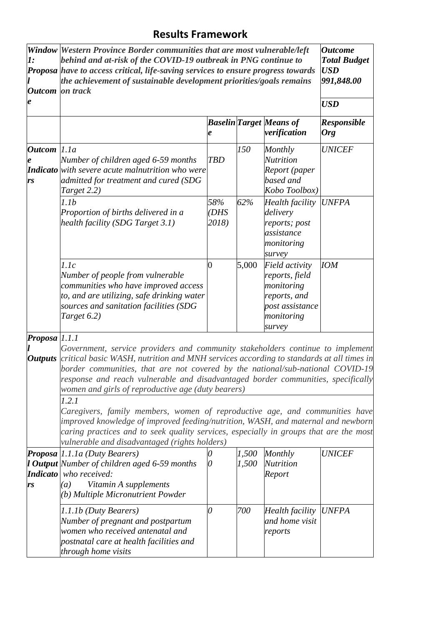## **Results Framework**

| 1:<br><b>Outcom</b>              | Window Western Province Border communities that are most vulnerable/left<br>behind and at-risk of the COVID-19 outbreak in PNG continue to<br>Proposa have to access critical, life-saving services to ensure progress towards<br>the achievement of sustainable development priorities/goals remains<br>on track                                                                                                                                                                                                                                                                                                                                                                                                          |                       | <b>Outcome</b><br><b>Total Budget</b><br><b>USD</b><br>991,848.00<br><b>USD</b> |                                                                                                           |                           |
|----------------------------------|----------------------------------------------------------------------------------------------------------------------------------------------------------------------------------------------------------------------------------------------------------------------------------------------------------------------------------------------------------------------------------------------------------------------------------------------------------------------------------------------------------------------------------------------------------------------------------------------------------------------------------------------------------------------------------------------------------------------------|-----------------------|---------------------------------------------------------------------------------|-----------------------------------------------------------------------------------------------------------|---------------------------|
|                                  |                                                                                                                                                                                                                                                                                                                                                                                                                                                                                                                                                                                                                                                                                                                            | e                     |                                                                                 | <b>Baselin</b> Target Means of<br>verification                                                            | <b>Responsible</b><br>Org |
| <b>Outcom</b><br>rs              | 1.1a<br>Number of children aged 6-59 months<br><b>Indicato</b> with severe acute malnutrition who were<br>admitted for treatment and cured (SDG<br>Target 2.2)                                                                                                                                                                                                                                                                                                                                                                                                                                                                                                                                                             | <b>TBD</b>            | 150                                                                             | Monthly<br><b>Nutrition</b><br>Report (paper<br>based and<br>Kobo Toolbox)                                | <b>UNICEF</b>             |
|                                  | 1.1b<br>Proportion of births delivered in a<br>health facility (SDG Target 3.1)                                                                                                                                                                                                                                                                                                                                                                                                                                                                                                                                                                                                                                            | 58%<br>(DHS)<br>2018) | 62%                                                                             | <b>Health</b> facility<br>delivery<br>reports; post<br>assistance<br>monitoring<br>survey                 | <b>UNFPA</b>              |
|                                  | 1.1c<br>Number of people from vulnerable<br>communities who have improved access<br>to, and are utilizing, safe drinking water<br>sources and sanitation facilities (SDG<br>Target 6.2)                                                                                                                                                                                                                                                                                                                                                                                                                                                                                                                                    | $\overline{0}$        | 5,000                                                                           | Field activity<br>reports, field<br>monitoring<br>reports, and<br>post assistance<br>monitoring<br>survey | <b>IOM</b>                |
| Proposa  1.1.1<br><b>Outputs</b> | Government, service providers and community stakeholders continue to implement<br>critical basic WASH, nutrition and MNH services according to standards at all times in<br>border communities, that are not covered by the national/sub-national COVID-19<br>response and reach vulnerable and disadvantaged border communities, specifically<br>women and girls of reproductive age (duty bearers)<br>1.2.1<br>Caregivers, family members, women of reproductive age, and communities have<br>improved knowledge of improved feeding/nutrition, WASH, and maternal and newborn<br>caring practices and to seek quality services, especially in groups that are the most<br>vulnerable and disadvantaged (rights holders) |                       |                                                                                 |                                                                                                           |                           |
| <i>Indicato</i><br>rs            | <b>Proposa</b>   $1.1.1a$ (Duty Bearers)<br><b><i>l</i></b> Output Number of children aged 6-59 months<br>who received:<br>Vitamin A supplements<br>(a)<br>(b) Multiple Micronutrient Powder                                                                                                                                                                                                                                                                                                                                                                                                                                                                                                                               | U<br>$\theta$         | 1,500<br>1,500                                                                  | Monthly<br><b>Nutrition</b><br>Report                                                                     | <b>UNICEF</b>             |
|                                  | 1.1.1b (Duty Bearers)<br>Number of pregnant and postpartum<br>women who received antenatal and<br>postnatal care at health facilities and<br>through home visits                                                                                                                                                                                                                                                                                                                                                                                                                                                                                                                                                           | $\theta$              | 700                                                                             | <b>Health facility</b><br>and home visit<br>reports                                                       | <b>UNFPA</b>              |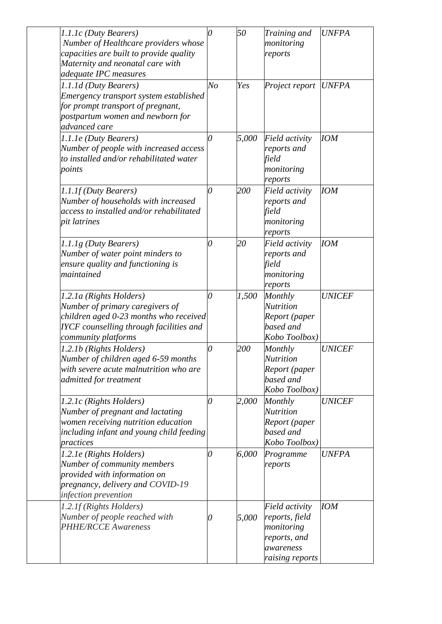| 1.1.1c (Duty Bearers)<br>Number of Healthcare providers whose<br>capacities are built to provide quality<br>Maternity and neonatal care with<br>adequate IPC measures         | 0        | 50    | Training and<br>monitoring<br>reports                                                          | <b>UNFPA</b>  |
|-------------------------------------------------------------------------------------------------------------------------------------------------------------------------------|----------|-------|------------------------------------------------------------------------------------------------|---------------|
| 1.1.1d (Duty Bearers)<br>Emergency transport system established<br>for prompt transport of pregnant,<br>postpartum women and newborn for<br>advanced care                     | $N_{O}$  | Yes   | Project report                                                                                 | <b>UNFPA</b>  |
| 1.1.1e (Duty Bearers)<br>Number of people with increased access<br>to installed and/or rehabilitated water<br>points                                                          | $\theta$ | 5,000 | Field activity<br>reports and<br>field<br>monitoring<br>reports                                | <b>IOM</b>    |
| $1.1.$ If (Duty Bearers)<br>Number of households with increased<br>access to installed and/or rehabilitated<br>pit latrines                                                   | 0        | 200   | Field activity<br>reports and<br>field<br>monitoring<br>reports                                | <b>IOM</b>    |
| $1.1.1g$ (Duty Bearers)<br>Number of water point minders to<br>ensure quality and functioning is<br>maintained                                                                | $\theta$ | 20    | Field activity<br>reports and<br>field<br>monitoring<br>reports                                | <b>IOM</b>    |
| 1.2.1a (Rights Holders)<br>Number of primary caregivers of<br>children aged 0-23 months who received<br><b>IYCF</b> counselling through facilities and<br>community platforms | 0        | 1,500 | Monthly<br><b>Nutrition</b><br>Report (paper<br>based and<br>Kobo Toolbox)                     | <b>UNICEF</b> |
| 1.2.1b (Rights Holders)<br>Number of children aged 6-59 months<br>with severe acute malnutrition who are<br>admitted for treatment                                            | 0        | 200   | Monthly<br><b>Nutrition</b><br>Report (paper<br>based and<br>Kobo Toolbox)                     | <b>UNICEF</b> |
| 1.2.1c (Rights Holders)<br>Number of pregnant and lactating<br>women receiving nutrition education<br>including infant and young child feeding<br>practices                   | 0        | 2,000 | Monthly<br><b>Nutrition</b><br>Report (paper<br>based and<br>Kobo Toolbox)                     | <b>UNICEF</b> |
| 1.2.1e (Rights Holders)<br>Number of community members<br>provided with information on<br>pregnancy, delivery and COVID-19<br>infection prevention                            | $\theta$ | 6,000 | Programme<br>reports                                                                           | <b>UNFPA</b>  |
| $1.2.$ If (Rights Holders)<br>Number of people reached with<br><b>PHHE/RCCE Awareness</b>                                                                                     | 0        | 5,000 | Field activity<br>reports, field<br>monitoring<br>reports, and<br>awareness<br>raising reports | IOM           |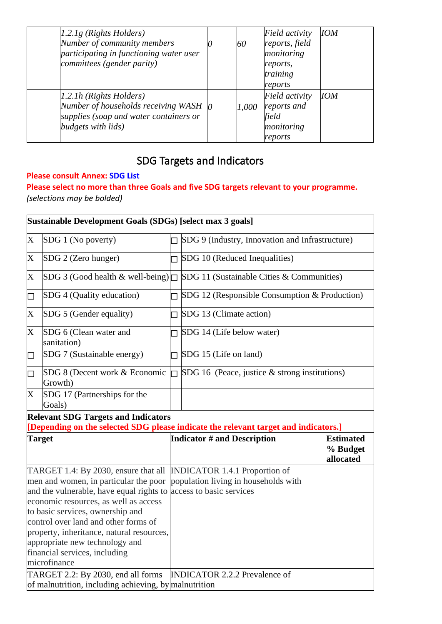| $1.2.1g$ (Rights Holders)<br>Number of community members<br>participating in functioning water user<br>committees (gender parity)          | 60    | <b>Field activity</b><br>reports, field<br>monitoring<br>reports,<br>training<br>reports | <b>IOM</b> |
|--------------------------------------------------------------------------------------------------------------------------------------------|-------|------------------------------------------------------------------------------------------|------------|
| 1.2.1h (Rights Holders)<br>Number of households receiving WASH $ 0\rangle$<br>supplies (soap and water containers or<br>budgets with lids) | 1,000 | <b>Field activity</b><br>reports and<br>field<br>monitoring<br>reports                   | <b>IOM</b> |

# SDG Targets and Indicators

### **Please consult Annex: [SDG List](#page--1-0)**

### **Please select no more than three Goals and five SDG targets relevant to your programme.**  *(selections may be bolded)*

|                       | Sustainable Development Goals (SDGs) [select max 3 goals]                                                                                                                                                                                                                                                                                                                      |   |                                                                                                          |                                           |  |  |
|-----------------------|--------------------------------------------------------------------------------------------------------------------------------------------------------------------------------------------------------------------------------------------------------------------------------------------------------------------------------------------------------------------------------|---|----------------------------------------------------------------------------------------------------------|-------------------------------------------|--|--|
| X                     | SDG 1 (No poverty)                                                                                                                                                                                                                                                                                                                                                             |   | SDG 9 (Industry, Innovation and Infrastructure)                                                          |                                           |  |  |
| X                     | SDG 2 (Zero hunger)                                                                                                                                                                                                                                                                                                                                                            |   | $\Box$ SDG 10 (Reduced Inequalities)                                                                     |                                           |  |  |
| X                     | SDG 3 (Good health & well-being) $\Box$                                                                                                                                                                                                                                                                                                                                        |   | SDG 11 (Sustainable Cities & Communities)                                                                |                                           |  |  |
| $\Box$                | SDG 4 (Quality education)                                                                                                                                                                                                                                                                                                                                                      |   | SDG 12 (Responsible Consumption & Production)                                                            |                                           |  |  |
| $\rm X$               | SDG 5 (Gender equality)                                                                                                                                                                                                                                                                                                                                                        | П | SDG 13 (Climate action)                                                                                  |                                           |  |  |
| X                     | SDG 6 (Clean water and<br>sanitation)                                                                                                                                                                                                                                                                                                                                          |   | SDG 14 (Life below water)                                                                                |                                           |  |  |
| $\Box$                | SDG 7 (Sustainable energy)                                                                                                                                                                                                                                                                                                                                                     |   | $\Box$ SDG 15 (Life on land)                                                                             |                                           |  |  |
| $\Box$                | SDG 8 (Decent work & Economic<br>Growth)                                                                                                                                                                                                                                                                                                                                       | П | SDG 16 (Peace, justice & strong institutions)                                                            |                                           |  |  |
| $\overline{\text{X}}$ | SDG 17 (Partnerships for the<br>Goals)                                                                                                                                                                                                                                                                                                                                         |   |                                                                                                          |                                           |  |  |
|                       | <b>Relevant SDG Targets and Indicators</b>                                                                                                                                                                                                                                                                                                                                     |   |                                                                                                          |                                           |  |  |
|                       |                                                                                                                                                                                                                                                                                                                                                                                |   | [Depending on the selected SDG please indicate the relevant target and indicators.]                      |                                           |  |  |
|                       | <b>Target</b>                                                                                                                                                                                                                                                                                                                                                                  |   | <b>Indicator # and Description</b>                                                                       | <b>Estimated</b><br>% Budget<br>allocated |  |  |
|                       | TARGET 1.4: By 2030, ensure that all<br>men and women, in particular the poor<br>and the vulnerable, have equal rights to<br>economic resources, as well as access<br>to basic services, ownership and<br>control over land and other forms of<br>property, inheritance, natural resources,<br>appropriate new technology and<br>financial services, including<br>microfinance |   | <b>INDICATOR 1.4.1 Proportion of</b><br>population living in households with<br>access to basic services |                                           |  |  |
|                       | TARGET 2.2: By 2030, end all forms<br>of malnutrition, including achieving, by malnutrition                                                                                                                                                                                                                                                                                    |   | <b>INDICATOR 2.2.2 Prevalence of</b>                                                                     |                                           |  |  |
|                       |                                                                                                                                                                                                                                                                                                                                                                                |   |                                                                                                          |                                           |  |  |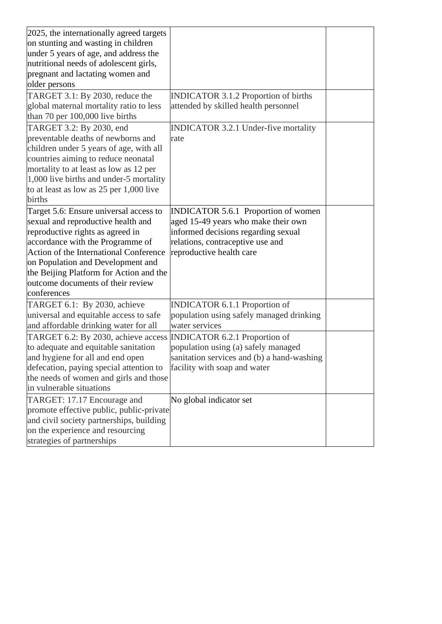| 2025, the internationally agreed targets |                                             |  |
|------------------------------------------|---------------------------------------------|--|
| on stunting and wasting in children      |                                             |  |
| under 5 years of age, and address the    |                                             |  |
| nutritional needs of adolescent girls,   |                                             |  |
| pregnant and lactating women and         |                                             |  |
| older persons                            |                                             |  |
| TARGET 3.1: By 2030, reduce the          | <b>INDICATOR 3.1.2 Proportion of births</b> |  |
| global maternal mortality ratio to less  | attended by skilled health personnel        |  |
| than 70 per 100,000 live births          |                                             |  |
| TARGET 3.2: By 2030, end                 | <b>INDICATOR 3.2.1 Under-five mortality</b> |  |
| preventable deaths of newborns and       | rate                                        |  |
| children under 5 years of age, with all  |                                             |  |
| countries aiming to reduce neonatal      |                                             |  |
| mortality to at least as low as 12 per   |                                             |  |
| 1,000 live births and under-5 mortality  |                                             |  |
| to at least as low as 25 per 1,000 live  |                                             |  |
| births                                   |                                             |  |
| Target 5.6: Ensure universal access to   | <b>INDICATOR 5.6.1 Proportion of women</b>  |  |
| sexual and reproductive health and       | aged 15-49 years who make their own         |  |
| reproductive rights as agreed in         | informed decisions regarding sexual         |  |
| accordance with the Programme of         | relations, contraceptive use and            |  |
| Action of the International Conference   | reproductive health care                    |  |
| on Population and Development and        |                                             |  |
| the Beijing Platform for Action and the  |                                             |  |
| outcome documents of their review        |                                             |  |
| conferences                              |                                             |  |
| TARGET 6.1: By 2030, achieve             | <b>INDICATOR 6.1.1 Proportion of</b>        |  |
| universal and equitable access to safe   | population using safely managed drinking    |  |
| and affordable drinking water for all    | water services                              |  |
| TARGET 6.2: By 2030, achieve access      | <b>INDICATOR 6.2.1 Proportion of</b>        |  |
| to adequate and equitable sanitation     | population using (a) safely managed         |  |
| and hygiene for all and end open         | sanitation services and (b) a hand-washing  |  |
| defecation, paying special attention to  | facility with soap and water                |  |
| the needs of women and girls and those   |                                             |  |
| in vulnerable situations                 |                                             |  |
| TARGET: 17.17 Encourage and              | No global indicator set                     |  |
| promote effective public, public-private |                                             |  |
| and civil society partnerships, building |                                             |  |
| on the experience and resourcing         |                                             |  |
| strategies of partnerships               |                                             |  |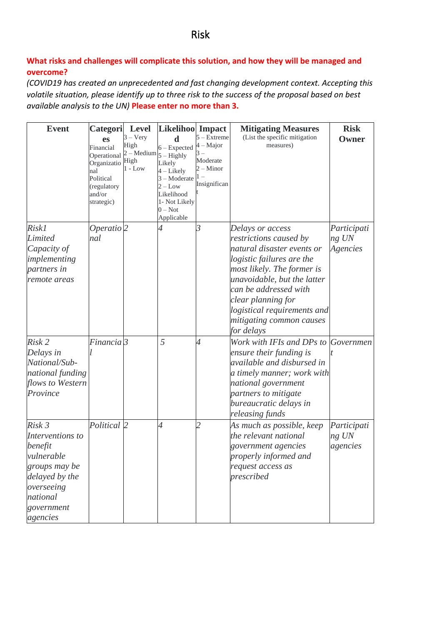### **What risks and challenges will complicate this solution, and how they will be managed and overcome?**

*(COVID19 has created an unprecedented and fast changing development context. Accepting this volatile situation, please identify up to three risk to the success of the proposal based on best available analysis to the UN)* **Please enter no more than 3.**

| <b>Event</b>                                                                                                                               | Categori                                                                                                 | <b>Level</b>                                                   | <b>Likelihoo</b> Impact                                                                                                                            |                                                                       | <b>Mitigating Measures</b>                                                                                                                                                                                                                                                                 | <b>Risk</b>                      |
|--------------------------------------------------------------------------------------------------------------------------------------------|----------------------------------------------------------------------------------------------------------|----------------------------------------------------------------|----------------------------------------------------------------------------------------------------------------------------------------------------|-----------------------------------------------------------------------|--------------------------------------------------------------------------------------------------------------------------------------------------------------------------------------------------------------------------------------------------------------------------------------------|----------------------------------|
|                                                                                                                                            | es<br>Financial<br>Operational<br>Organizatio<br>nal<br>Political<br>(regulatory<br>and/or<br>strategic) | $3 - \mathrm{Very}$<br>High<br>$2 - Medium$<br>High<br>1 - Low | d<br>$6 - Expected$<br>$5 -$ Highly<br>Likely<br>$4 - Likely$<br>3 - Moderate<br>$2 - Low$<br>Likelihood<br>1- Not Likely<br>0 – Not<br>Applicable | $5 -$ Extreme<br>$4 - Major$<br>Moderate<br>2 – Minor<br>Insignifican | (List the specific mitigation<br>measures)                                                                                                                                                                                                                                                 | Owner                            |
| Risk1<br>Limited<br>Capacity of<br>implementing<br>partners in<br>remote areas                                                             | Operatio 2<br>nal                                                                                        |                                                                | 4                                                                                                                                                  | 3                                                                     | Delays or access<br>restrictions caused by<br>natural disaster events or<br>logistic failures are the<br>most likely. The former is<br>unavoidable, but the latter<br>can be addressed with<br>clear planning for<br>logistical requirements and<br>mitigating common causes<br>for delays | Participati<br>ng UN<br>Agencies |
| Risk 2<br>Delays in<br>National/Sub-<br>national funding<br>flows to Western<br>Province                                                   | Financia 3                                                                                               |                                                                | 5                                                                                                                                                  | $\overline{4}$                                                        | Work with IFIs and DPs to Governmen<br>ensure their funding is<br>available and disbursed in<br>a timely manner; work with<br>national government<br>partners to mitigate<br>bureaucratic delays in<br>releasing funds                                                                     |                                  |
| Risk 3<br>Interventions to<br>benefit<br>vulnerable<br>groups may be<br>delayed by the<br>overseeing<br>national<br>government<br>agencies | Political 2                                                                                              |                                                                | 4                                                                                                                                                  | 2                                                                     | As much as possible, keep<br>the relevant national<br>government agencies<br>properly informed and<br>request access as<br>prescribed                                                                                                                                                      | Participati<br>ng UN<br>agencies |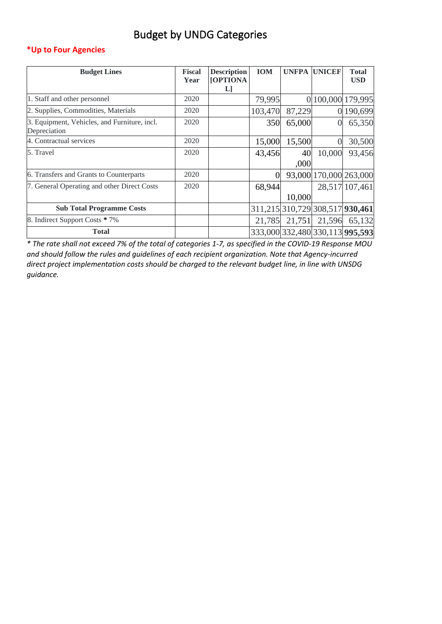## Budget by UNDG Categories

#### **\*Up to Four Agencies**

| <b>Budget Lines</b>                                          | <b>Fiscal</b><br>Year | <b>Description</b><br><b>[OPTIONA</b> | <b>IOM</b> | <b>UNFPA</b> | <b>UNICEF</b>                   | <b>Total</b><br><b>USD</b>      |
|--------------------------------------------------------------|-----------------------|---------------------------------------|------------|--------------|---------------------------------|---------------------------------|
|                                                              |                       | L                                     |            |              |                                 |                                 |
| 1. Staff and other personnel                                 | 2020                  |                                       | 79,995     | $\Omega$     |                                 | 100,000 179,995                 |
| 2. Supplies, Commodities, Materials                          | 2020                  |                                       | 103,470    | 87,229       |                                 | 190,699                         |
| 3. Equipment, Vehicles, and Furniture, incl.<br>Depreciation | 2020                  |                                       | 350        | 65,000       |                                 | 65,350                          |
| 4. Contractual services                                      | 2020                  |                                       | 15,000     | 15,500       |                                 | 30,500                          |
| 5. Travel                                                    | 2020                  |                                       | 43,456     | 40           | 10,000                          | 93,456                          |
|                                                              |                       |                                       |            | ,000         |                                 |                                 |
| 6. Transfers and Grants to Counterparts                      | 2020                  |                                       |            |              |                                 | 93,000 170,000 263,000          |
| 7. General Operating and other Direct Costs                  | 2020                  |                                       | 68,944     |              |                                 | 28,517 107,461                  |
|                                                              |                       |                                       |            | 10,000       |                                 |                                 |
| <b>Sub Total Programme Costs</b>                             |                       |                                       |            |              | 311,215 310,729 308,517 930,461 |                                 |
| 8. Indirect Support Costs * 7%                               |                       |                                       | 21,785     | 21,751       | 21,596                          | 65,132                          |
| <b>Total</b>                                                 |                       |                                       |            |              |                                 | 333,000 332,480 330,113 995,593 |

*\* The rate shall not exceed 7% of the total of categories 1-7, as specified in the COVID-19 Response MOU and should follow the rules and guidelines of each recipient organization. Note that Agency-incurred direct project implementation costs should be charged to the relevant budget line, in line with UNSDG guidance.*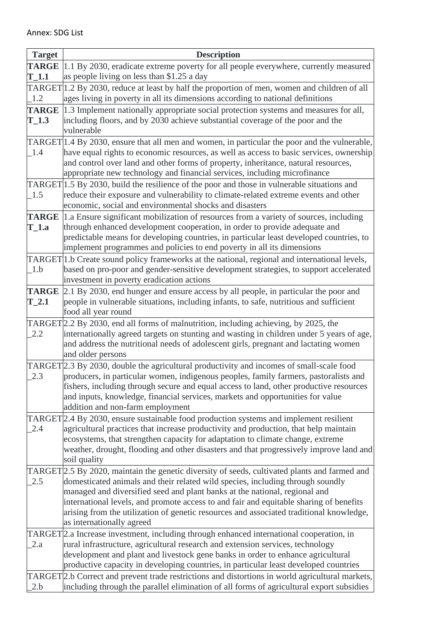| <b>Target</b> | <b>Description</b>                                                                                                                                                       |
|---------------|--------------------------------------------------------------------------------------------------------------------------------------------------------------------------|
| <b>TARGE</b>  | 1.1 By 2030, eradicate extreme poverty for all people everywhere, currently measured                                                                                     |
| $T_1.1$       | as people living on less than \$1.25 a day                                                                                                                               |
|               | TARGET 1.2 By 2030, reduce at least by half the proportion of men, women and children of all                                                                             |
| 1.2           | ages living in poverty in all its dimensions according to national definitions                                                                                           |
| <b>TARGE</b>  | 1.3 Implement nationally appropriate social protection systems and measures for all,                                                                                     |
| $T_{1.3}$     | including floors, and by 2030 achieve substantial coverage of the poor and the                                                                                           |
|               | vulnerable                                                                                                                                                               |
|               | TARGET [1.4 By 2030, ensure that all men and women, in particular the poor and the vulnerable,                                                                           |
| 1.4           | have equal rights to economic resources, as well as access to basic services, ownership                                                                                  |
|               | and control over land and other forms of property, inheritance, natural resources,                                                                                       |
|               | appropriate new technology and financial services, including microfinance                                                                                                |
|               | TARGET 1.5 By 2030, build the resilience of the poor and those in vulnerable situations and                                                                              |
| 1.5           | reduce their exposure and vulnerability to climate-related extreme events and other                                                                                      |
|               | economic, social and environmental shocks and disasters                                                                                                                  |
|               | <b>TARGE</b> 1.a Ensure significant mobilization of resources from a variety of sources, including                                                                       |
| $T_1.a$       | through enhanced development cooperation, in order to provide adequate and                                                                                               |
|               | predictable means for developing countries, in particular least developed countries, to                                                                                  |
|               | implement programmes and policies to end poverty in all its dimensions                                                                                                   |
|               | TARGET 1.b Create sound policy frameworks at the national, regional and international levels,                                                                            |
| 1.b           | based on pro-poor and gender-sensitive development strategies, to support accelerated                                                                                    |
|               | investment in poverty eradication actions                                                                                                                                |
| <b>TARGE</b>  | 2.1 By 2030, end hunger and ensure access by all people, in particular the poor and                                                                                      |
| $T_2.1$       | people in vulnerable situations, including infants, to safe, nutritious and sufficient                                                                                   |
|               | food all year round                                                                                                                                                      |
|               | TARGET 2.2 By 2030, end all forms of malnutrition, including achieving, by 2025, the                                                                                     |
| 2.2           | internationally agreed targets on stunting and wasting in children under 5 years of age,                                                                                 |
|               | and address the nutritional needs of adolescent girls, pregnant and lactating women                                                                                      |
|               | and older persons                                                                                                                                                        |
|               | TARGET [2.3 By 2030, double the agricultural productivity and incomes of small-scale food                                                                                |
| 2.3           | producers, in particular women, indigenous peoples, family farmers, pastoralists and                                                                                     |
|               | fishers, including through secure and equal access to land, other productive resources<br>and inputs, knowledge, financial services, markets and opportunities for value |
|               | addition and non-farm employment                                                                                                                                         |
|               | TARGET 2.4 By 2030, ensure sustainable food production systems and implement resilient                                                                                   |
| 2.4           | agricultural practices that increase productivity and production, that help maintain                                                                                     |
|               | ecosystems, that strengthen capacity for adaptation to climate change, extreme                                                                                           |
|               | weather, drought, flooding and other disasters and that progressively improve land and                                                                                   |
|               | soil quality                                                                                                                                                             |
|               | TARGET [2.5 By 2020, maintain the genetic diversity of seeds, cultivated plants and farmed and                                                                           |
| 2.5           | domesticated animals and their related wild species, including through soundly                                                                                           |
|               | managed and diversified seed and plant banks at the national, regional and                                                                                               |
|               | international levels, and promote access to and fair and equitable sharing of benefits                                                                                   |
|               | arising from the utilization of genetic resources and associated traditional knowledge,                                                                                  |
|               | as internationally agreed                                                                                                                                                |
|               | TARGET <sup>[2</sup> .a Increase investment, including through enhanced international cooperation, in                                                                    |
| 2.a           | rural infrastructure, agricultural research and extension services, technology                                                                                           |
|               | development and plant and livestock gene banks in order to enhance agricultural                                                                                          |
|               | productive capacity in developing countries, in particular least developed countries                                                                                     |
|               | TARGET 2.b Correct and prevent trade restrictions and distortions in world agricultural markets,                                                                         |
| 2.b           | including through the parallel elimination of all forms of agricultural export subsidies                                                                                 |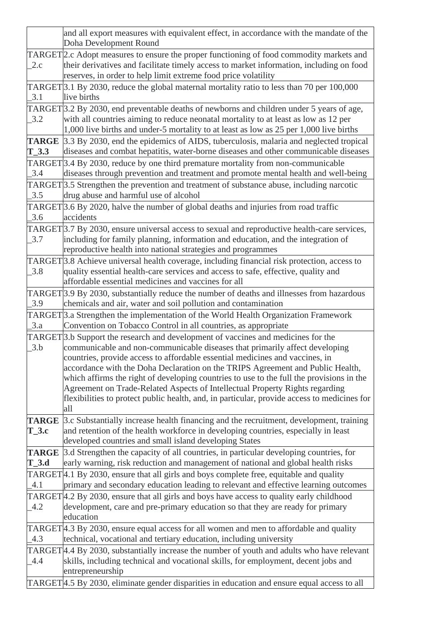|              | and all export measures with equivalent effect, in accordance with the mandate of the<br>Doha Development Round                                                                                                                                       |
|--------------|-------------------------------------------------------------------------------------------------------------------------------------------------------------------------------------------------------------------------------------------------------|
|              |                                                                                                                                                                                                                                                       |
| 2.c          | TARGET 2.c Adopt measures to ensure the proper functioning of food commodity markets and<br>their derivatives and facilitate timely access to market information, including on food<br>reserves, in order to help limit extreme food price volatility |
| 3.1          | TARGET 3.1 By 2030, reduce the global maternal mortality ratio to less than 70 per 100,000<br>live births                                                                                                                                             |
|              | TARGET 3.2 By 2030, end preventable deaths of newborns and children under 5 years of age,                                                                                                                                                             |
| 3.2          | with all countries aiming to reduce neonatal mortality to at least as low as 12 per                                                                                                                                                                   |
|              | 1,000 live births and under-5 mortality to at least as low as 25 per 1,000 live births                                                                                                                                                                |
| <b>TARGE</b> | 3.3 By 2030, end the epidemics of AIDS, tuberculosis, malaria and neglected tropical                                                                                                                                                                  |
| $T_3.3$      | diseases and combat hepatitis, water-borne diseases and other communicable diseases                                                                                                                                                                   |
|              |                                                                                                                                                                                                                                                       |
| 3.4          | TARGET 3.4 By 2030, reduce by one third premature mortality from non-communicable<br>diseases through prevention and treatment and promote mental health and well-being                                                                               |
|              |                                                                                                                                                                                                                                                       |
| 3.5          | TARGET <sup>[3.5</sup> Strengthen the prevention and treatment of substance abuse, including narcotic<br>drug abuse and harmful use of alcohol                                                                                                        |
|              | TARGET 3.6 By 2020, halve the number of global deaths and injuries from road traffic                                                                                                                                                                  |
| 3.6          | accidents                                                                                                                                                                                                                                             |
|              | TARGET 3.7 By 2030, ensure universal access to sexual and reproductive health-care services,                                                                                                                                                          |
| 3.7          | including for family planning, information and education, and the integration of                                                                                                                                                                      |
|              | reproductive health into national strategies and programmes                                                                                                                                                                                           |
|              | TARGET 3.8 Achieve universal health coverage, including financial risk protection, access to                                                                                                                                                          |
| 3.8          | quality essential health-care services and access to safe, effective, quality and                                                                                                                                                                     |
|              | affordable essential medicines and vaccines for all                                                                                                                                                                                                   |
|              | TARGET [3.9 By 2030, substantially reduce the number of deaths and illnesses from hazardous                                                                                                                                                           |
| 3.9          | chemicals and air, water and soil pollution and contamination                                                                                                                                                                                         |
|              | TARGET <sup>3</sup> .a Strengthen the implementation of the World Health Organization Framework                                                                                                                                                       |
| 3.a          | Convention on Tobacco Control in all countries, as appropriate                                                                                                                                                                                        |
|              | TARGET 3.b Support the research and development of vaccines and medicines for the                                                                                                                                                                     |
| 3.b          | communicable and non-communicable diseases that primarily affect developing                                                                                                                                                                           |
|              | countries, provide access to affordable essential medicines and vaccines, in                                                                                                                                                                          |
|              | accordance with the Doha Declaration on the TRIPS Agreement and Public Health,                                                                                                                                                                        |
|              | which affirms the right of developing countries to use to the full the provisions in the                                                                                                                                                              |
|              | Agreement on Trade-Related Aspects of Intellectual Property Rights regarding                                                                                                                                                                          |
|              | flexibilities to protect public health, and, in particular, provide access to medicines for                                                                                                                                                           |
|              | all                                                                                                                                                                                                                                                   |
| <b>TARGE</b> | 3.c Substantially increase health financing and the recruitment, development, training                                                                                                                                                                |
| $T_3.c$      | and retention of the health workforce in developing countries, especially in least<br>developed countries and small island developing States                                                                                                          |
| <b>TARGE</b> | 3.d Strengthen the capacity of all countries, in particular developing countries, for                                                                                                                                                                 |
| $T_3.d$      | early warning, risk reduction and management of national and global health risks                                                                                                                                                                      |
|              | TARGET 4.1 By 2030, ensure that all girls and boys complete free, equitable and quality                                                                                                                                                               |
| 4.1          | primary and secondary education leading to relevant and effective learning outcomes                                                                                                                                                                   |
|              |                                                                                                                                                                                                                                                       |
| 4.2          | TARGET 4.2 By 2030, ensure that all girls and boys have access to quality early childhood<br>development, care and pre-primary education so that they are ready for primary                                                                           |
|              | education                                                                                                                                                                                                                                             |
|              | TARGET 4.3 By 2030, ensure equal access for all women and men to affordable and quality                                                                                                                                                               |
| 4.3          | technical, vocational and tertiary education, including university                                                                                                                                                                                    |
|              | TARGET 4.4 By 2030, substantially increase the number of youth and adults who have relevant                                                                                                                                                           |
| 4.4          | skills, including technical and vocational skills, for employment, decent jobs and                                                                                                                                                                    |
|              | entrepreneurship                                                                                                                                                                                                                                      |
|              | TARGET 4.5 By 2030, eliminate gender disparities in education and ensure equal access to all                                                                                                                                                          |
|              |                                                                                                                                                                                                                                                       |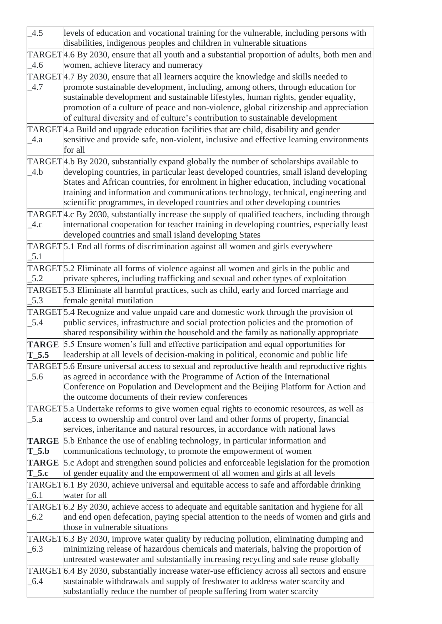| 4.5                        | levels of education and vocational training for the vulnerable, including persons with<br>disabilities, indigenous peoples and children in vulnerable situations |
|----------------------------|------------------------------------------------------------------------------------------------------------------------------------------------------------------|
|                            | TARGET 4.6 By 2030, ensure that all youth and a substantial proportion of adults, both men and                                                                   |
| 4.6                        | women, achieve literacy and numeracy                                                                                                                             |
|                            | TARGET 4.7 By 2030, ensure that all learners acquire the knowledge and skills needed to                                                                          |
| 4.7                        | promote sustainable development, including, among others, through education for                                                                                  |
|                            | sustainable development and sustainable lifestyles, human rights, gender equality,                                                                               |
|                            | promotion of a culture of peace and non-violence, global citizenship and appreciation                                                                            |
|                            | of cultural diversity and of culture's contribution to sustainable development                                                                                   |
|                            | TARGET <sup>[4</sup> ]. a Build and upgrade education facilities that are child, disability and gender                                                           |
| $\mathcal{A}$ .a           | sensitive and provide safe, non-violent, inclusive and effective learning environments                                                                           |
|                            | for all                                                                                                                                                          |
|                            | TARGET 4.b By 2020, substantially expand globally the number of scholarships available to                                                                        |
| 4.b                        | developing countries, in particular least developed countries, small island developing                                                                           |
|                            | States and African countries, for enrolment in higher education, including vocational                                                                            |
|                            | training and information and communications technology, technical, engineering and                                                                               |
|                            | scientific programmes, in developed countries and other developing countries                                                                                     |
|                            | TARGET4.c By 2030, substantially increase the supply of qualified teachers, including through                                                                    |
| 4.c                        | international cooperation for teacher training in developing countries, especially least                                                                         |
|                            | developed countries and small island developing States                                                                                                           |
|                            | TARGET 5.1 End all forms of discrimination against all women and girls everywhere                                                                                |
| 5.1                        |                                                                                                                                                                  |
|                            | TARGET 5.2 Eliminate all forms of violence against all women and girls in the public and                                                                         |
| 5.2                        | private spheres, including trafficking and sexual and other types of exploitation                                                                                |
|                            | TARGET 5.3 Eliminate all harmful practices, such as child, early and forced marriage and                                                                         |
| $-5.3$                     | female genital mutilation                                                                                                                                        |
|                            | TARGET 5.4 Recognize and value unpaid care and domestic work through the provision of                                                                            |
| $\_5.4$                    | public services, infrastructure and social protection policies and the promotion of                                                                              |
|                            | shared responsibility within the household and the family as nationally appropriate                                                                              |
| <b>TARGE</b>               | 5.5 Ensure women's full and effective participation and equal opportunities for                                                                                  |
| T <sub>5.5</sub>           | leadership at all levels of decision-making in political, economic and public life                                                                               |
|                            | TARGET 5.6 Ensure universal access to sexual and reproductive health and reproductive rights                                                                     |
| $-5.6$                     | as agreed in accordance with the Programme of Action of the International                                                                                        |
|                            | Conference on Population and Development and the Beijing Platform for Action and                                                                                 |
|                            | the outcome documents of their review conferences                                                                                                                |
|                            | TARGET 5.a Undertake reforms to give women equal rights to economic resources, as well as                                                                        |
| $\overline{\mathbf{5}}$ .a | access to ownership and control over land and other forms of property, financial                                                                                 |
|                            | services, inheritance and natural resources, in accordance with national laws                                                                                    |
| <b>TARGE</b>               | 5.b Enhance the use of enabling technology, in particular information and                                                                                        |
| $T_5.b$                    | communications technology, to promote the empowerment of women                                                                                                   |
| <b>TARGE</b>               | 5.c Adopt and strengthen sound policies and enforceable legislation for the promotion                                                                            |
| $T_5.c$                    | of gender equality and the empowerment of all women and girls at all levels                                                                                      |
|                            | TARGET 6.1 By 2030, achieve universal and equitable access to safe and affordable drinking                                                                       |
| 6.1                        | water for all                                                                                                                                                    |
|                            | TARGET 6.2 By 2030, achieve access to adequate and equitable sanitation and hygiene for all                                                                      |
| 6.2                        | and end open defecation, paying special attention to the needs of women and girls and                                                                            |
|                            | those in vulnerable situations                                                                                                                                   |
|                            | TARGET 6.3 By 2030, improve water quality by reducing pollution, eliminating dumping and                                                                         |
| 6.3                        | minimizing release of hazardous chemicals and materials, halving the proportion of                                                                               |
|                            | untreated wastewater and substantially increasing recycling and safe reuse globally                                                                              |
|                            | TARGET 6.4 By 2030, substantially increase water-use efficiency across all sectors and ensure                                                                    |
| 6.4                        | sustainable withdrawals and supply of freshwater to address water scarcity and                                                                                   |
|                            | substantially reduce the number of people suffering from water scarcity                                                                                          |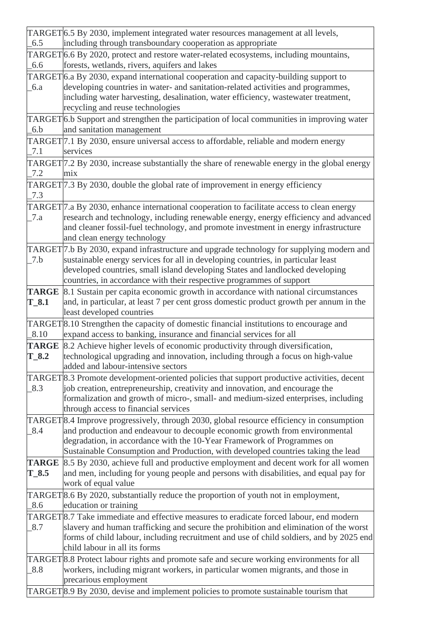|              | TARGET 6.5 By 2030, implement integrated water resources management at all levels,                                                                                                          |
|--------------|---------------------------------------------------------------------------------------------------------------------------------------------------------------------------------------------|
| 6.5          | including through transboundary cooperation as appropriate                                                                                                                                  |
|              | TARGET 6.6 By 2020, protect and restore water-related ecosystems, including mountains,                                                                                                      |
| 6.6          | forests, wetlands, rivers, aquifers and lakes                                                                                                                                               |
|              | TARGET 6.a By 2030, expand international cooperation and capacity-building support to                                                                                                       |
| 6.a          | developing countries in water- and sanitation-related activities and programmes,                                                                                                            |
|              | including water harvesting, desalination, water efficiency, wastewater treatment,                                                                                                           |
|              | recycling and reuse technologies                                                                                                                                                            |
|              | TARGET 6.b Support and strengthen the participation of local communities in improving water                                                                                                 |
| 6.b          | and sanitation management                                                                                                                                                                   |
|              | TARGET7.1 By 2030, ensure universal access to affordable, reliable and modern energy                                                                                                        |
| 7.1          | services                                                                                                                                                                                    |
|              | TARGET 7.2 By 2030, increase substantially the share of renewable energy in the global energy                                                                                               |
| 7.2          | mix                                                                                                                                                                                         |
|              | TARGET 7.3 By 2030, double the global rate of improvement in energy efficiency                                                                                                              |
| 7.3          |                                                                                                                                                                                             |
|              | TARGET 7.a By 2030, enhance international cooperation to facilitate access to clean energy                                                                                                  |
| 7.a          | research and technology, including renewable energy, energy efficiency and advanced                                                                                                         |
|              | and cleaner fossil-fuel technology, and promote investment in energy infrastructure<br>and clean energy technology                                                                          |
|              |                                                                                                                                                                                             |
| 7.b          | TARGET 7.b By 2030, expand infrastructure and upgrade technology for supplying modern and<br>sustainable energy services for all in developing countries, in particular least               |
|              | developed countries, small island developing States and landlocked developing                                                                                                               |
|              | countries, in accordance with their respective programmes of support                                                                                                                        |
|              | <b>TARGE</b> 8.1 Sustain per capita economic growth in accordance with national circumstances                                                                                               |
| $T_8.1$      | and, in particular, at least 7 per cent gross domestic product growth per annum in the                                                                                                      |
|              | least developed countries                                                                                                                                                                   |
|              | TARGET 8.10 Strengthen the capacity of domestic financial institutions to encourage and                                                                                                     |
| 8.10         | expand access to banking, insurance and financial services for all                                                                                                                          |
| <b>TARGE</b> | 8.2 Achieve higher levels of economic productivity through diversification,                                                                                                                 |
| $T_8.2$      | technological upgrading and innovation, including through a focus on high-value                                                                                                             |
|              | added and labour-intensive sectors                                                                                                                                                          |
|              | TARGET <sup>[8.3</sup> Promote development-oriented policies that support productive activities, decent                                                                                     |
| 8.3          | job creation, entrepreneurship, creativity and innovation, and encourage the                                                                                                                |
|              | formalization and growth of micro-, small- and medium-sized enterprises, including                                                                                                          |
|              | through access to financial services                                                                                                                                                        |
|              | TARGET <sup>[8]</sup> .4 Improve progressively, through 2030, global resource efficiency in consumption                                                                                     |
| 8.4          | and production and endeavour to decouple economic growth from environmental                                                                                                                 |
|              | degradation, in accordance with the 10-Year Framework of Programmes on                                                                                                                      |
|              | Sustainable Consumption and Production, with developed countries taking the lead                                                                                                            |
| <b>TARGE</b> | 8.5 By 2030, achieve full and productive employment and decent work for all women                                                                                                           |
| $T_{.8.5}$   | and men, including for young people and persons with disabilities, and equal pay for<br>work of equal value                                                                                 |
|              |                                                                                                                                                                                             |
| 8.6          | TARGET 8.6 By 2020, substantially reduce the proportion of youth not in employment,                                                                                                         |
|              | education or training                                                                                                                                                                       |
| 8.7          | TARGET <sup>8.7</sup> Take immediate and effective measures to eradicate forced labour, end modern<br>slavery and human trafficking and secure the prohibition and elimination of the worst |
|              | forms of child labour, including recruitment and use of child soldiers, and by 2025 end                                                                                                     |
|              | child labour in all its forms                                                                                                                                                               |
|              | TARGET <sup>8.8</sup> Protect labour rights and promote safe and secure working environments for all                                                                                        |
| 8.8          | workers, including migrant workers, in particular women migrants, and those in                                                                                                              |
|              | precarious employment                                                                                                                                                                       |
|              | TARGET 8.9 By 2030, devise and implement policies to promote sustainable tourism that                                                                                                       |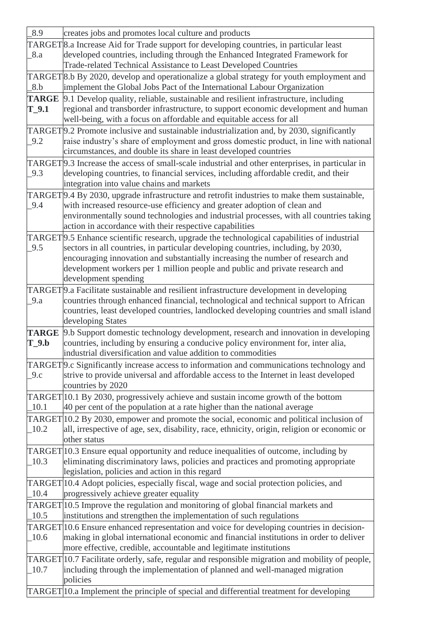| 8.9          | creates jobs and promotes local culture and products                                                  |
|--------------|-------------------------------------------------------------------------------------------------------|
|              | TARGET <sup>[8]</sup> . There are Aid for Trade support for developing countries, in particular least |
| 8.a          | developed countries, including through the Enhanced Integrated Framework for                          |
|              | Trade-related Technical Assistance to Least Developed Countries                                       |
|              | TARGET 8.b By 2020, develop and operationalize a global strategy for youth employment and             |
| 8.b          | implement the Global Jobs Pact of the International Labour Organization                               |
| <b>TARGE</b> | 9.1 Develop quality, reliable, sustainable and resilient infrastructure, including                    |
| $T_9.1$      | regional and transborder infrastructure, to support economic development and human                    |
|              | well-being, with a focus on affordable and equitable access for all                                   |
|              | TARGET [9.2 Promote inclusive and sustainable industrialization and, by 2030, significantly           |
| $-9.2$       | raise industry's share of employment and gross domestic product, in line with national                |
|              | circumstances, and double its share in least developed countries                                      |
|              | TARGET [9.3 Increase the access of small-scale industrial and other enterprises, in particular in     |
| 9.3          | developing countries, to financial services, including affordable credit, and their                   |
|              | integration into value chains and markets                                                             |
|              | TARGET 9.4 By 2030, upgrade infrastructure and retrofit industries to make them sustainable,          |
| 9.4          | with increased resource-use efficiency and greater adoption of clean and                              |
|              | environmentally sound technologies and industrial processes, with all countries taking                |
|              | action in accordance with their respective capabilities                                               |
|              | TARGET [9.5 Enhance scientific research, upgrade the technological capabilities of industrial         |
| $-9.5$       | sectors in all countries, in particular developing countries, including, by 2030,                     |
|              | encouraging innovation and substantially increasing the number of research and                        |
|              | development workers per 1 million people and public and private research and                          |
|              | development spending                                                                                  |
|              | TARGET9.a Facilitate sustainable and resilient infrastructure development in developing               |
| $_{9a}$      | countries through enhanced financial, technological and technical support to African                  |
|              | countries, least developed countries, landlocked developing countries and small island                |
|              | developing States                                                                                     |
| <b>TARGE</b> | 9.b Support domestic technology development, research and innovation in developing                    |
| $T_9.b$      | countries, including by ensuring a conducive policy environment for, inter alia,                      |
|              | industrial diversification and value addition to commodities                                          |
|              | TARGET [9.c Significantly increase access to information and communications technology and            |
| 9.c          | strive to provide universal and affordable access to the Internet in least developed                  |
|              | countries by 2020                                                                                     |
|              | TARGET 10.1 By 2030, progressively achieve and sustain income growth of the bottom                    |
| 10.1         | 40 per cent of the population at a rate higher than the national average                              |
|              | TARGET 10.2 By 2030, empower and promote the social, economic and political inclusion of              |
| 10.2         | all, irrespective of age, sex, disability, race, ethnicity, origin, religion or economic or           |
|              | other status                                                                                          |
|              | TARGET 10.3 Ensure equal opportunity and reduce inequalities of outcome, including by                 |
| 10.3         | eliminating discriminatory laws, policies and practices and promoting appropriate                     |
|              | legislation, policies and action in this regard                                                       |
|              | TARGET 10.4 Adopt policies, especially fiscal, wage and social protection policies, and               |
| 10.4         | progressively achieve greater equality                                                                |
|              | TARGET 10.5 Improve the regulation and monitoring of global financial markets and                     |
| 10.5         | institutions and strengthen the implementation of such regulations                                    |
|              | TARGET 10.6 Ensure enhanced representation and voice for developing countries in decision-            |
| 10.6         | making in global international economic and financial institutions in order to deliver                |
|              | more effective, credible, accountable and legitimate institutions                                     |
|              | TARGET [10.7 Facilitate orderly, safe, regular and responsible migration and mobility of people,      |
| 10.7         | including through the implementation of planned and well-managed migration                            |
|              | policies                                                                                              |
|              | TARGET 10.a Implement the principle of special and differential treatment for developing              |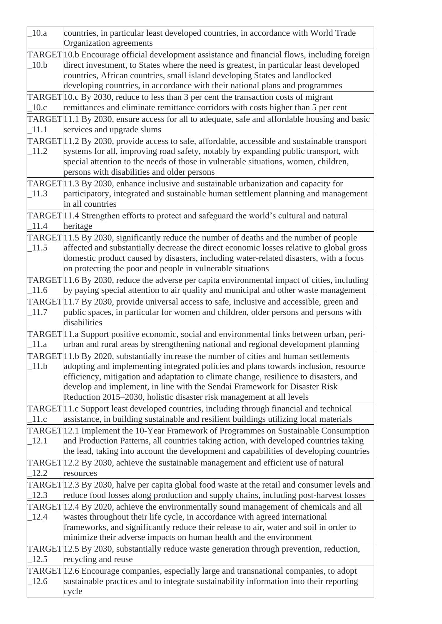| 10.a | countries, in particular least developed countries, in accordance with World Trade                                                                                                                                                                                                                                                        |
|------|-------------------------------------------------------------------------------------------------------------------------------------------------------------------------------------------------------------------------------------------------------------------------------------------------------------------------------------------|
|      | Organization agreements                                                                                                                                                                                                                                                                                                                   |
| 10.b | TARGET 10.b Encourage official development assistance and financial flows, including foreign<br>direct investment, to States where the need is greatest, in particular least developed<br>countries, African countries, small island developing States and landlocked                                                                     |
|      | developing countries, in accordance with their national plans and programmes                                                                                                                                                                                                                                                              |
|      | TARGET 10.c By 2030, reduce to less than 3 per cent the transaction costs of migrant                                                                                                                                                                                                                                                      |
| 10.c | remittances and eliminate remittance corridors with costs higher than 5 per cent                                                                                                                                                                                                                                                          |
|      | TARGET [11.1 By 2030, ensure access for all to adequate, safe and affordable housing and basic                                                                                                                                                                                                                                            |
| 11.1 | services and upgrade slums                                                                                                                                                                                                                                                                                                                |
| 11.2 | TARGET 11.2 By 2030, provide access to safe, affordable, accessible and sustainable transport<br>systems for all, improving road safety, notably by expanding public transport, with<br>special attention to the needs of those in vulnerable situations, women, children,<br>persons with disabilities and older persons                 |
| 11.3 | TARGET 11.3 By 2030, enhance inclusive and sustainable urbanization and capacity for<br>participatory, integrated and sustainable human settlement planning and management                                                                                                                                                                |
|      | in all countries                                                                                                                                                                                                                                                                                                                          |
|      | TARGET <sup>[11]</sup> .4 Strengthen efforts to protect and safeguard the world's cultural and natural                                                                                                                                                                                                                                    |
| 11.4 | heritage                                                                                                                                                                                                                                                                                                                                  |
| 11.5 | TARGET 11.5 By 2030, significantly reduce the number of deaths and the number of people<br>affected and substantially decrease the direct economic losses relative to global gross<br>domestic product caused by disasters, including water-related disasters, with a focus<br>on protecting the poor and people in vulnerable situations |
|      | TARGET 11.6 By 2030, reduce the adverse per capita environmental impact of cities, including                                                                                                                                                                                                                                              |
| 11.6 | by paying special attention to air quality and municipal and other waste management                                                                                                                                                                                                                                                       |
|      | TARGET 11.7 By 2030, provide universal access to safe, inclusive and accessible, green and                                                                                                                                                                                                                                                |
| 11.7 | public spaces, in particular for women and children, older persons and persons with<br>disabilities                                                                                                                                                                                                                                       |
|      | TARGET 11.a Support positive economic, social and environmental links between urban, peri-                                                                                                                                                                                                                                                |
| 11.a | urban and rural areas by strengthening national and regional development planning                                                                                                                                                                                                                                                         |
|      | TARGET 11.b By 2020, substantially increase the number of cities and human settlements                                                                                                                                                                                                                                                    |
| 11.b | adopting and implementing integrated policies and plans towards inclusion, resource<br>efficiency, mitigation and adaptation to climate change, resilience to disasters, and<br>develop and implement, in line with the Sendai Framework for Disaster Risk<br>Reduction 2015-2030, holistic disaster risk management at all levels        |
|      | TARGET 11.c Support least developed countries, including through financial and technical                                                                                                                                                                                                                                                  |
| 11.c | assistance, in building sustainable and resilient buildings utilizing local materials                                                                                                                                                                                                                                                     |
|      | TARGET <sup>[12]</sup> .1 Implement the 10-Year Framework of Programmes on Sustainable Consumption                                                                                                                                                                                                                                        |
| 12.1 | and Production Patterns, all countries taking action, with developed countries taking                                                                                                                                                                                                                                                     |
|      | the lead, taking into account the development and capabilities of developing countries                                                                                                                                                                                                                                                    |
|      | TARGET 12.2 By 2030, achieve the sustainable management and efficient use of natural                                                                                                                                                                                                                                                      |
| 12.2 | resources                                                                                                                                                                                                                                                                                                                                 |
|      | TARGET 12.3 By 2030, halve per capita global food waste at the retail and consumer levels and                                                                                                                                                                                                                                             |
| 12.3 | reduce food losses along production and supply chains, including post-harvest losses                                                                                                                                                                                                                                                      |
|      | TARGET 12.4 By 2020, achieve the environmentally sound management of chemicals and all                                                                                                                                                                                                                                                    |
| 12.4 | wastes throughout their life cycle, in accordance with agreed international<br>frameworks, and significantly reduce their release to air, water and soil in order to<br>minimize their adverse impacts on human health and the environment                                                                                                |
|      | TARGET 12.5 By 2030, substantially reduce waste generation through prevention, reduction,                                                                                                                                                                                                                                                 |
| 12.5 | recycling and reuse                                                                                                                                                                                                                                                                                                                       |
|      |                                                                                                                                                                                                                                                                                                                                           |
| 12.6 | TARGET 12.6 Encourage companies, especially large and transnational companies, to adopt<br>sustainable practices and to integrate sustainability information into their reporting                                                                                                                                                         |
|      | cycle                                                                                                                                                                                                                                                                                                                                     |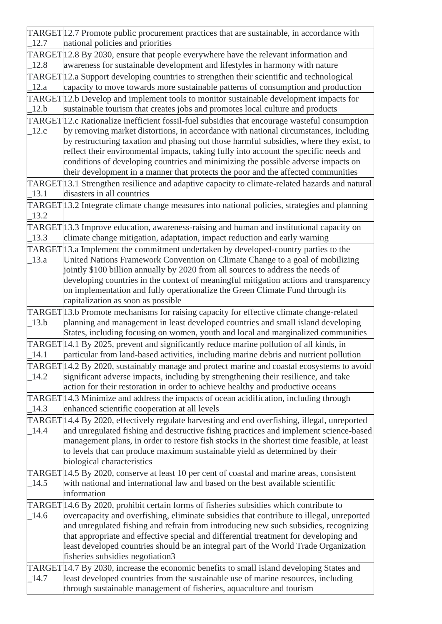| 12.7 | TARGET 12.7 Promote public procurement practices that are sustainable, in accordance with<br>national policies and priorities                                       |
|------|---------------------------------------------------------------------------------------------------------------------------------------------------------------------|
|      |                                                                                                                                                                     |
| 12.8 | TARGET 12.8 By 2030, ensure that people everywhere have the relevant information and<br>awareness for sustainable development and lifestyles in harmony with nature |
|      | TARGET 12.a Support developing countries to strengthen their scientific and technological                                                                           |
| 12.a | capacity to move towards more sustainable patterns of consumption and production                                                                                    |
|      | TARGET 12.b Develop and implement tools to monitor sustainable development impacts for                                                                              |
| 12.b | sustainable tourism that creates jobs and promotes local culture and products                                                                                       |
|      | TARGET 12.c Rationalize inefficient fossil-fuel subsidies that encourage wasteful consumption                                                                       |
| 12.c | by removing market distortions, in accordance with national circumstances, including                                                                                |
|      | by restructuring taxation and phasing out those harmful subsidies, where they exist, to                                                                             |
|      | reflect their environmental impacts, taking fully into account the specific needs and                                                                               |
|      | conditions of developing countries and minimizing the possible adverse impacts on                                                                                   |
|      | their development in a manner that protects the poor and the affected communities                                                                                   |
|      | TARGET 13.1 Strengthen resilience and adaptive capacity to climate-related hazards and natural                                                                      |
| 13.1 | disasters in all countries                                                                                                                                          |
|      | TARGET 13.2 Integrate climate change measures into national policies, strategies and planning                                                                       |
| 13.2 |                                                                                                                                                                     |
|      | TARGET 13.3 Improve education, awareness-raising and human and institutional capacity on                                                                            |
| 13.3 | climate change mitigation, adaptation, impact reduction and early warning                                                                                           |
|      | TARGET 13.a Implement the commitment undertaken by developed-country parties to the                                                                                 |
| 13.a | United Nations Framework Convention on Climate Change to a goal of mobilizing                                                                                       |
|      | jointly \$100 billion annually by 2020 from all sources to address the needs of                                                                                     |
|      | developing countries in the context of meaningful mitigation actions and transparency                                                                               |
|      | on implementation and fully operationalize the Green Climate Fund through its                                                                                       |
|      | capitalization as soon as possible                                                                                                                                  |
|      | TARGET 13.b Promote mechanisms for raising capacity for effective climate change-related                                                                            |
| 13.b | planning and management in least developed countries and small island developing                                                                                    |
|      | States, including focusing on women, youth and local and marginalized communities                                                                                   |
|      | TARGET 14.1 By 2025, prevent and significantly reduce marine pollution of all kinds, in                                                                             |
| 14.1 | particular from land-based activities, including marine debris and nutrient pollution                                                                               |
|      | TARGET 14.2 By 2020, sustainably manage and protect marine and coastal ecosystems to avoid                                                                          |
| 14.2 | significant adverse impacts, including by strengthening their resilience, and take                                                                                  |
|      | action for their restoration in order to achieve healthy and productive oceans                                                                                      |
|      | TARGET 14.3 Minimize and address the impacts of ocean acidification, including through                                                                              |
| 14.3 | enhanced scientific cooperation at all levels                                                                                                                       |
|      | TARGET 14.4 By 2020, effectively regulate harvesting and end overfishing, illegal, unreported                                                                       |
| 14.4 | and unregulated fishing and destructive fishing practices and implement science-based                                                                               |
|      | management plans, in order to restore fish stocks in the shortest time feasible, at least                                                                           |
|      | to levels that can produce maximum sustainable yield as determined by their                                                                                         |
|      | biological characteristics                                                                                                                                          |
|      | TARGET 14.5 By 2020, conserve at least 10 per cent of coastal and marine areas, consistent                                                                          |
| 14.5 | with national and international law and based on the best available scientific                                                                                      |
|      | information                                                                                                                                                         |
|      | TARGET 14.6 By 2020, prohibit certain forms of fisheries subsidies which contribute to                                                                              |
| 14.6 | overcapacity and overfishing, eliminate subsidies that contribute to illegal, unreported                                                                            |
|      | and unregulated fishing and refrain from introducing new such subsidies, recognizing                                                                                |
|      | that appropriate and effective special and differential treatment for developing and                                                                                |
|      | least developed countries should be an integral part of the World Trade Organization                                                                                |
|      | fisheries subsidies negotiation3                                                                                                                                    |
|      | TARGET [14.7 By 2030, increase the economic benefits to small island developing States and                                                                          |
| 14.7 | least developed countries from the sustainable use of marine resources, including                                                                                   |
|      | through sustainable management of fisheries, aquaculture and tourism                                                                                                |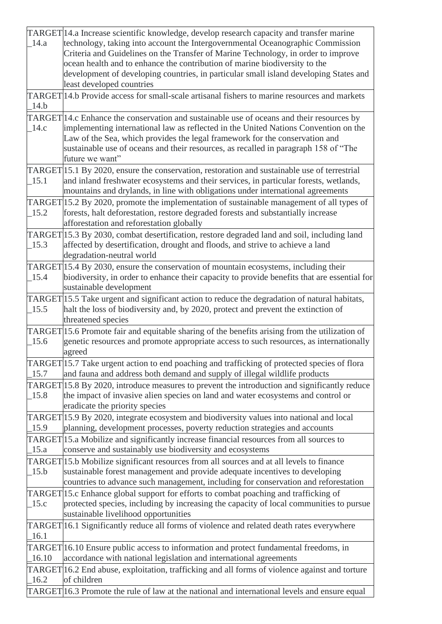|       | TARGET 14.a Increase scientific knowledge, develop research capacity and transfer marine       |
|-------|------------------------------------------------------------------------------------------------|
| 14.a  | technology, taking into account the Intergovernmental Oceanographic Commission                 |
|       | Criteria and Guidelines on the Transfer of Marine Technology, in order to improve              |
|       | ocean health and to enhance the contribution of marine biodiversity to the                     |
|       | development of developing countries, in particular small island developing States and          |
|       | least developed countries                                                                      |
|       | TARGET 14.b Provide access for small-scale artisanal fishers to marine resources and markets   |
| 14.b  |                                                                                                |
|       | TARGET 14.c Enhance the conservation and sustainable use of oceans and their resources by      |
| 14.c  | implementing international law as reflected in the United Nations Convention on the            |
|       | Law of the Sea, which provides the legal framework for the conservation and                    |
|       | sustainable use of oceans and their resources, as recalled in paragraph 158 of "The            |
|       | future we want"                                                                                |
|       | TARGET 15.1 By 2020, ensure the conservation, restoration and sustainable use of terrestrial   |
| 15.1  | and inland freshwater ecosystems and their services, in particular forests, wetlands,          |
|       | mountains and drylands, in line with obligations under international agreements                |
|       | TARGET 15.2 By 2020, promote the implementation of sustainable management of all types of      |
| 15.2  | forests, halt deforestation, restore degraded forests and substantially increase               |
|       | afforestation and reforestation globally                                                       |
|       | TARGET 15.3 By 2030, combat desertification, restore degraded land and soil, including land    |
| 15.3  | affected by desertification, drought and floods, and strive to achieve a land                  |
|       | degradation-neutral world                                                                      |
|       | TARGET 15.4 By 2030, ensure the conservation of mountain ecosystems, including their           |
| 15.4  | biodiversity, in order to enhance their capacity to provide benefits that are essential for    |
|       | sustainable development                                                                        |
|       | TARGET 15.5 Take urgent and significant action to reduce the degradation of natural habitats,  |
| 15.5  | halt the loss of biodiversity and, by 2020, protect and prevent the extinction of              |
|       | threatened species                                                                             |
|       | TARGET 15.6 Promote fair and equitable sharing of the benefits arising from the utilization of |
| 15.6  | genetic resources and promote appropriate access to such resources, as internationally         |
|       | agreed                                                                                         |
|       | TARGET 15.7 Take urgent action to end poaching and trafficking of protected species of flora   |
| 15.7  | and fauna and address both demand and supply of illegal wildlife products                      |
|       | TARGET 15.8 By 2020, introduce measures to prevent the introduction and significantly reduce   |
| 15.8  | the impact of invasive alien species on land and water ecosystems and control or               |
|       | eradicate the priority species                                                                 |
|       | TARGET 15.9 By 2020, integrate ecosystem and biodiversity values into national and local       |
| 15.9  | planning, development processes, poverty reduction strategies and accounts                     |
|       | TARGET 15.a Mobilize and significantly increase financial resources from all sources to        |
| 15.a  | conserve and sustainably use biodiversity and ecosystems                                       |
|       | TARGET 15.b Mobilize significant resources from all sources and at all levels to finance       |
| 15.b  | sustainable forest management and provide adequate incentives to developing                    |
|       | countries to advance such management, including for conservation and reforestation             |
|       | TARGET 15.c Enhance global support for efforts to combat poaching and trafficking of           |
| 15.c  | protected species, including by increasing the capacity of local communities to pursue         |
|       | sustainable livelihood opportunities                                                           |
|       | TARGET 16.1 Significantly reduce all forms of violence and related death rates everywhere      |
| 16.1  |                                                                                                |
|       | TARGET 16.10 Ensure public access to information and protect fundamental freedoms, in          |
| 16.10 | accordance with national legislation and international agreements                              |
|       | TARGET 16.2 End abuse, exploitation, trafficking and all forms of violence against and torture |
| 16.2  | of children                                                                                    |
|       | TARGET 16.3 Promote the rule of law at the national and international levels and ensure equal  |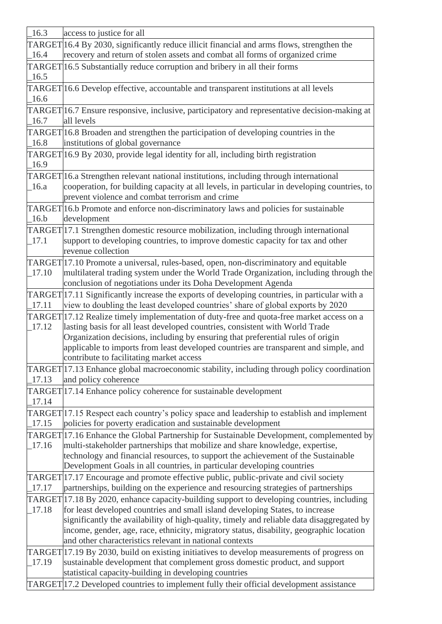| 16.3  | access to justice for all                                                                                                                                                   |
|-------|-----------------------------------------------------------------------------------------------------------------------------------------------------------------------------|
|       | TARGET 16.4 By 2030, significantly reduce illicit financial and arms flows, strengthen the                                                                                  |
| 16.4  | recovery and return of stolen assets and combat all forms of organized crime                                                                                                |
|       | TARGET 16.5 Substantially reduce corruption and bribery in all their forms                                                                                                  |
| 16.5  |                                                                                                                                                                             |
|       | TARGET 16.6 Develop effective, accountable and transparent institutions at all levels                                                                                       |
| 16.6  |                                                                                                                                                                             |
|       | TARGET 16.7 Ensure responsive, inclusive, participatory and representative decision-making at                                                                               |
| 16.7  | all levels                                                                                                                                                                  |
|       | TARGET 16.8 Broaden and strengthen the participation of developing countries in the                                                                                         |
| 16.8  | institutions of global governance                                                                                                                                           |
|       | TARGET 16.9 By 2030, provide legal identity for all, including birth registration                                                                                           |
| 16.9  |                                                                                                                                                                             |
|       | TARGET 16.a Strengthen relevant national institutions, including through international                                                                                      |
| 16.a  | cooperation, for building capacity at all levels, in particular in developing countries, to                                                                                 |
|       | prevent violence and combat terrorism and crime                                                                                                                             |
|       | TARGET 16.b Promote and enforce non-discriminatory laws and policies for sustainable                                                                                        |
| 16.b  | development                                                                                                                                                                 |
|       | TARGET 17.1 Strengthen domestic resource mobilization, including through international                                                                                      |
| 17.1  | support to developing countries, to improve domestic capacity for tax and other                                                                                             |
|       | revenue collection                                                                                                                                                          |
|       | TARGET 17.10 Promote a universal, rules-based, open, non-discriminatory and equitable                                                                                       |
| 17.10 | multilateral trading system under the World Trade Organization, including through the                                                                                       |
|       | conclusion of negotiations under its Doha Development Agenda                                                                                                                |
|       | TARGET 17.11 Significantly increase the exports of developing countries, in particular with a                                                                               |
| 17.11 | view to doubling the least developed countries' share of global exports by 2020                                                                                             |
|       | TARGET 17.12 Realize timely implementation of duty-free and quota-free market access on a                                                                                   |
| 17.12 | lasting basis for all least developed countries, consistent with World Trade                                                                                                |
|       | Organization decisions, including by ensuring that preferential rules of origin                                                                                             |
|       | applicable to imports from least developed countries are transparent and simple, and                                                                                        |
|       | contribute to facilitating market access                                                                                                                                    |
|       | TARGET 17.13 Enhance global macroeconomic stability, including through policy coordination                                                                                  |
| 17.13 | and policy coherence                                                                                                                                                        |
|       | TARGET 17.14 Enhance policy coherence for sustainable development                                                                                                           |
| 17.14 |                                                                                                                                                                             |
|       | TARGET 17.15 Respect each country's policy space and leadership to establish and implement                                                                                  |
| 17.15 | policies for poverty eradication and sustainable development                                                                                                                |
|       | TARGET 17.16 Enhance the Global Partnership for Sustainable Development, complemented by                                                                                    |
| 17.16 | multi-stakeholder partnerships that mobilize and share knowledge, expertise,                                                                                                |
|       | technology and financial resources, to support the achievement of the Sustainable                                                                                           |
|       | Development Goals in all countries, in particular developing countries                                                                                                      |
| 17.17 | TARGET [17.17 Encourage and promote effective public, public-private and civil society                                                                                      |
|       | partnerships, building on the experience and resourcing strategies of partnerships                                                                                          |
| 17.18 | TARGET 17.18 By 2020, enhance capacity-building support to developing countries, including<br>for least developed countries and small island developing States, to increase |
|       | significantly the availability of high-quality, timely and reliable data disaggregated by                                                                                   |
|       | income, gender, age, race, ethnicity, migratory status, disability, geographic location                                                                                     |
|       | and other characteristics relevant in national contexts                                                                                                                     |
|       | TARGET [17.19 By 2030, build on existing initiatives to develop measurements of progress on                                                                                 |
| 17.19 | sustainable development that complement gross domestic product, and support                                                                                                 |
|       | statistical capacity-building in developing countries                                                                                                                       |
|       | TARGET 17.2 Developed countries to implement fully their official development assistance                                                                                    |
|       |                                                                                                                                                                             |